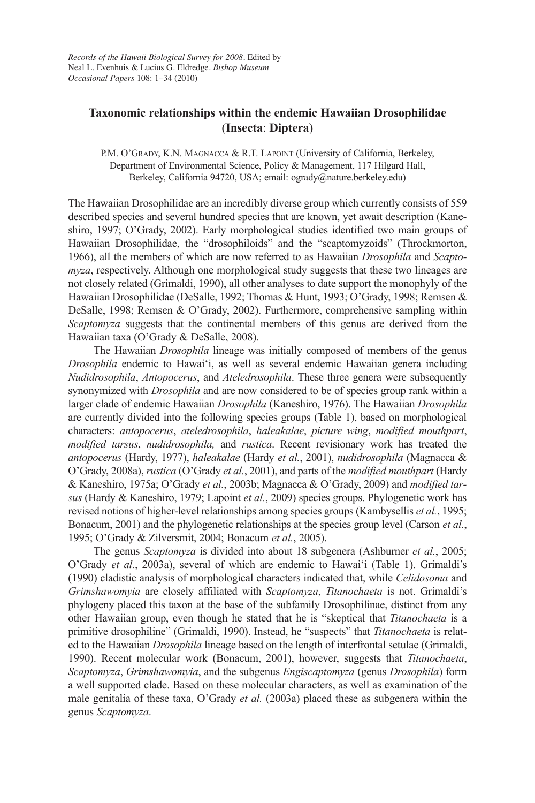# **Taxonomic relationships within the endemic Hawaiian Drosophilidae** (**Insecta**: **Diptera**)

P.M. O'GRADY, K.N. MAGNACCA & R.T. LAPOINT (University of California, Berkeley, Department of Environmental Science, Policy & Management, 117 Hilgard Hall, Berkeley, California 94720, USA; email: ogrady@nature.berkeley.edu)

The Hawaiian Drosophilidae are an incredibly diverse group which currently consists of 559 described species and several hundred species that are known, yet await description (Kaneshiro, 1997; O'Grady, 2002). Early morphological studies identified two main groups of Hawaiian Drosophilidae, the "drosophiloids" and the "scaptomyzoids" (Throckmorton, 1966), all the members of which are now referred to as Hawaiian *Drosophila* and *Scapto myza*, respectively. although one morphological study suggests that these two lineages are not closely related (Grimaldi, 1990), all other analyses to date support the monophyly of the Hawaiian Drosophilidae (DeSalle, 1992; Thomas & Hunt, 1993; O'Grady, 1998; Remsen & DeSalle, 1998; Remsen & O'Grady, 2002). Furthermore, comprehensive sampling within *Scaptomyza* suggests that the continental members of this genus are derived from the Hawaiian taxa (O'Grady & DeSalle, 2008).

The Hawaiian *Drosophila* lineage was initially composed of members of the genus *Drosophila* endemic to Hawai'i, as well as several endemic Hawaiian genera including *Nudidrosophila*, *Antopocerus*, and *Ateledrosophila*. These three genera were subsequently synonymized with *Drosophila* and are now considered to be of species group rank within a larger clade of endemic Hawaiian *Drosophila* (Kaneshiro, 1976). The Hawaiian *Drosophila* are currently divided into the following species groups (Table 1), based on morphological characters: *antopocerus*, *ateledrosophila*, *haleakalae*, *picture wing*, *modified mouthpart*, *modified tarsus, nudidrosophila, and rustica. Recent revisionary work has treated the antopocerus* (Hardy, 1977), *haleakalae* (Hardy *etal.*, 2001), *nudidrosophila* (Magnacca & O'Grady, 2008a), *rustica* (O'Grady *etal.*, 2001), and parts of the *modifiedmouthpart* (Hardy & Kaneshiro, 1975a; O'Grady *etal.*, 2003b; Magnacca & O'Grady, 2009) and *modifiedtarsus* (Hardy & Kaneshiro, 1979; Lapoint *etal.*, 2009) species groups. Phylogenetic work has revised notions of higher-level relationships among species groups (Kambysellis *etal.*, 1995; Bonacum, 2001) and the phylogenetic relationships at the species group level (carson *etal.*, 1995; O'Grady & Zilversmit, 2004; Bonacum *etal.*, 2005).

The genus *Scaptomyza* is divided into about 18 subgenera (Ashburner *et al.*, 2005; O'Grady *et al.*, 2003a), several of which are endemic to Hawai'i (Table 1). Grimaldi's (1990) cladistic analysis of morphological characters indicated that, while *Celidosoma* and *Grimshawomyia* are closely affiliated with *Scaptomyza*, *Titanochaeta* is not. Grimaldi's phylogeny placed this taxon at the base of the subfamily Drosophilinae, distinct from any other Hawaiian group, even though he stated that he is "skeptical that *Titanochaeta* is a primitive drosophiline" (Grimaldi, 1990). Instead, he "suspects" that *Titanochaeta* is related to the Hawaiian *Drosophila* lineage based on the length of interfrontal setulae (Grimaldi, 1990). Recent molecular work (Bonacum, 2001), however, suggests that *Titanochaeta*, *Scaptomyza*, *Grimshawomyia*, and the subgenus *Engiscaptomyza* (genus *Drosophila*) form a well supported clade. Based on these molecular characters, as well as examination of the male genitalia of these taxa, O'Grady *etal.* (2003a) placed these as subgenera within the genus *Scaptomyza*.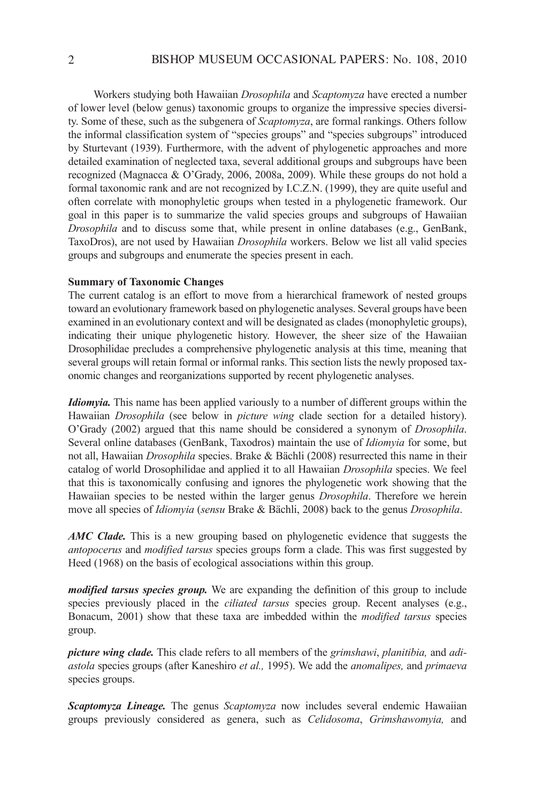Workers studying both Hawaiian *Drosophila* and *Scaptomyza* have erected a number of lower level (below genus) taxonomic groups to organize the impressive species diversity. Some of these, such as the subgenera of *Scaptomyza*, are formal rankings. Others follow the informal classification system of "species groups" and "species subgroups" introduced by Sturtevant (1939). Furthermore, with the advent of phylogenetic approaches and more detailed examination of neglected taxa, several additional groups and subgroups have been recognized (Magnacca & O'Grady, 2006, 2008a, 2009). While these groups do not hold a formal taxonomic rank and are not recognized by i.c.Z.N. (1999), they are quite useful and often correlate with monophyletic groups when tested in a phylogenetic framework. Our goal in this paper is to summarize the valid species groups and subgroups of Hawaiian *Drosophila* and to discuss some that, while present in online databases (e.g., GenBank, Taxodros), are not used by Hawaiian *Drosophila* workers. Below we list all valid species groups and subgroups and enumerate the species present in each.

## **Summary of Taxonomic Changes**

The current catalog is an effort to move from a hierarchical framework of nested groups toward an evolutionary framework based on phylogenetic analyses. Several groups have been examined in an evolutionary context and will be designated as clades (monophyletic groups), indicating their unique phylogenetic history. However, the sheer size of the Hawaiian Drosophilidae precludes a comprehensive phylogenetic analysis at this time, meaning that several groups will retain formal or informal ranks. This section lists the newly proposed taxonomic changes and reorganizations supported by recent phylogenetic analyses.

*Idiomyia.* This name has been applied variously to a number of different groups within the Hawaiian *Drosophila* (see below in *picture wing* clade section for a detailed history). O'Grady (2002) argued that this name should be considered a synonym of *Drosophila*. Several online databases (GenBank, Taxodros) maintain the use of *Idiomyia* for some, but not all, Hawaiian *Drosophila* species. Brake & Bächli (2008) resurrected this name in their catalog of world Drosophilidae and applied it to all Hawaiian *Drosophila* species. We feel that this is taxonomically confusing and ignores the phylogenetic work showing that the Hawaiian species to be nested within the larger genus *Drosophila*. Therefore we herein move all species of *Idiomyia* (*sensu* Brake & Bächli, 2008) back to the genus *Drosophila*.

*AMC Clade.* This is a new grouping based on phylogenetic evidence that suggests the *antopocerus* and *modified tarsus* species groups form a clade. This was first suggested by Heed (1968) on the basis of ecological associations within this group.

*modified tarsus species group.* We are expanding the definition of this group to include species previously placed in the *ciliated tarsus* species group. Recent analyses (e.g., Bonacum, 2001) show that these taxa are imbedded within the *modified tarsus* species group.

*picture wing clade.* This clade refers to all members of the *grimshawi*, *planitibia,* and *adiastola* species groups (after Kaneshiro *etal.,* 1995). We add the *anomalipes,* and *primaeva* species groups.

*Scaptomyza Lineage.* The genus *Scaptomyza* now includes several endemic Hawaiian groups previously considered as genera, such as *Celidosoma*, *Grimshawomyia,* and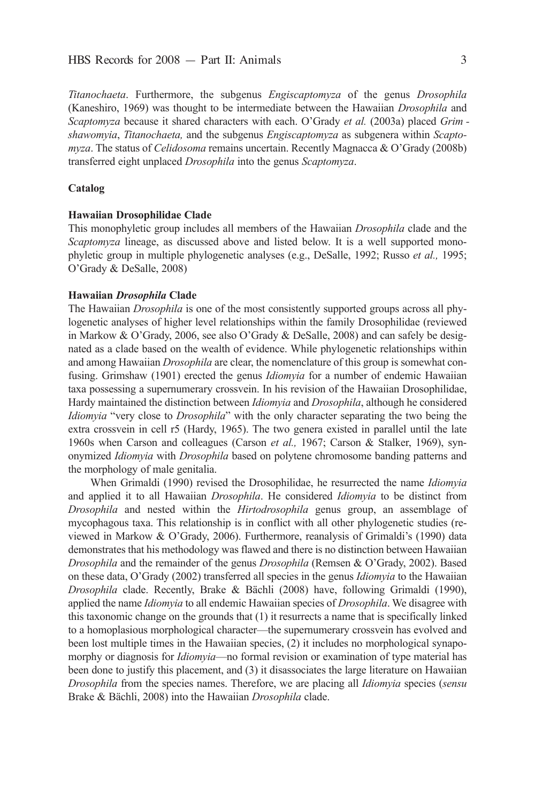*Titanochaeta*. Furthermore, the subgenus *Engiscaptomyza* of the genus *Drosophila* (Kaneshiro, 1969) was thought to be intermediate between the Hawaiian *Drosophila* and *Scaptomyza* because it shared characters with each. O'Grady *etal.* (2003a) placed *Grim shawomyia*, *Titanochaeta,* and the subgenus *Engiscaptomyza* as subgenera within *Scapto myza*. The status of *Celidosoma* remains uncertain. Recently Magnacca & O'Grady (2008b) transferred eight unplaced *Drosophila* into the genus *Scaptomyza*.

## **Catalog**

### **Hawaiian Drosophilidae Clade**

This monophyletic group includes all members of the Hawaiian *Drosophila* clade and the *Scaptomyza* lineage, as discussed above and listed below. it is a well supported monophyletic group in multiple phylogenetic analyses (e.g., DeSalle, 1992; Russo *et al.*, 1995; O'Grady & DeSalle, 2008)

### **Hawaiian** *Drosophila* **Clade**

The Hawaiian *Drosophila* is one of the most consistently supported groups across all phylogenetic analyses of higher level relationships within the family Drosophilidae (reviewed in Markow & O'Grady, 2006, see also O'Grady & DeSalle, 2008) and can safely be designated as a clade based on the wealth of evidence. While phylogenetic relationships within and among Hawaiian *Drosophila* are clear, the nomenclature of this group is somewhat confusing. Grimshaw (1901) erected the genus *Idiomyia* for a number of endemic Hawaiian taxa possessing a supernumerary crossvein. In his revision of the Hawaiian Drosophilidae, Hardy maintained the distinction between *Idiomyia* and *Drosophila*, although he considered *Idiomyia* "very close to *Drosophila*" with the only character separating the two being the extra crossvein in cell r5 (Hardy, 1965). The two genera existed in parallel until the late 1960s when carson and colleagues (carson *et al.,* 1967; carson & Stalker, 1969), synonymized *Idiomyia* with *Drosophila* based on polytene chromosome banding patterns and the morphology of male genitalia.

When Grimaldi (1990) revised the drosophilidae, he resurrected the name *Idiomyia* and applied it to all Hawaiian *Drosophila*. He considered *Idiomyia* to be distinct from *Drosophila* and nested within the *Hirtodrosophila* genus group, an assemblage of mycophagous taxa. This relationship is in conflict with all other phylogenetic studies (re viewed in Markow & O'Grady, 2006). Furthermore, reanalysis of Grimaldi's (1990) data demonstrates that his methodology was flawed and there is no distinction between Hawaiian *Drosophila* and the remainder of the genus *Drosophila* (Remsen & O'Grady, 2002). Based on these data, O'Grady (2002) transferred all species in the genus *Idiomyia* to the Hawaiian *Drosophila* clade. Recently, Brake & Bächli (2008) have, following Grimaldi (1990), applied the name *Idiomyia* to all endemic Hawaiian species of *Drosophila*. We disagree with this taxonomic change on the grounds that (1) it resurrects a name that is specifically linked to a homoplasious morphological character—the supernumerary crossvein has evolved and been lost multiple times in the Hawaiian species, (2) it includes no morphological synapomorphy or diagnosis for *Idiomyia*—no formal revision or examination of type material has been done to justify this placement, and (3) it disassociates the large literature on Hawaiian *Drosophila* from the species names. Therefore, we are placing all *Idiomyia* species (*sensu* Brake & Bächli, 2008) into the Hawaiian *Drosophila* clade.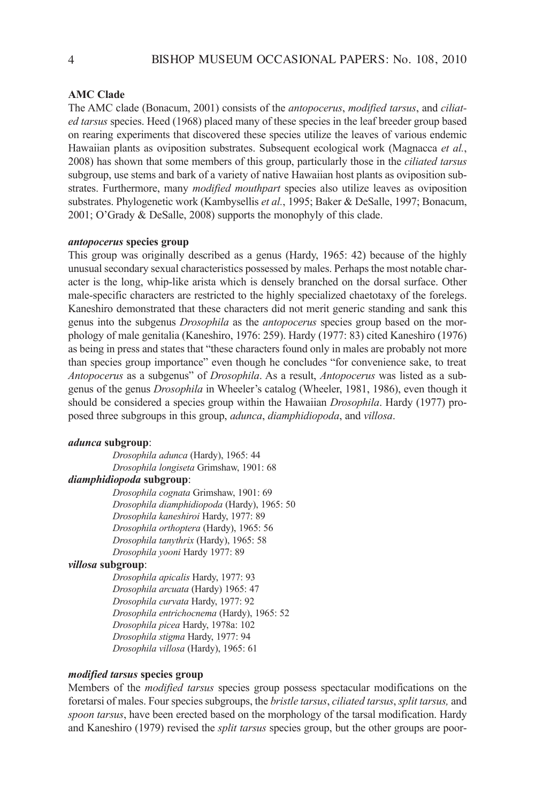### **AMC Clade**

The AMC clade (Bonacum, 2001) consists of the *antopocerus*, *modified tarsus*, and *ciliated tarsus* species. Heed (1968) placed many of these species in the leaf breeder group based on rearing experiments that discovered these species utilize the leaves of various endemic Hawaiian plants as oviposition substrates. Subsequent ecological work (Magnacca *et al.*, 2008) has shown that some members of this group, particularly those in the *ciliated tarsus* subgroup, use stems and bark of a variety of native Hawaiian host plants as oviposition substrates. Furthermore, many *modified mouthpart* species also utilize leaves as oviposition substrates. Phylogenetic work (Kambysellis *et al.*, 1995; Baker & DeSalle, 1997; Bonacum,  $2001$ ; O'Grady & DeSalle, 2008) supports the monophyly of this clade.

## *antopocerus* **species group**

This group was originally described as a genus (Hardy, 1965: 42) because of the highly unusual secondary sexual characteristics possessed by males. Perhaps the most notable character is the long, whip-like arista which is densely branched on the dorsal surface. Other male-specific characters are restricted to the highly specialized chaetotaxy of the forelegs. Kaneshiro demonstrated that these characters did not merit generic standing and sank this genus into the subgenus *Drosophila* as the *antopocerus* species group based on the morphology of male genitalia (Kaneshiro, 1976: 259). Hardy (1977: 83) cited Kaneshiro (1976) as being in press and states that "these characters found only in males are probably not more than species group importance" even though he concludes "for convenience sake, to treat *Antopocerus* as a subgenus" of *Drosophila*. as a result, *Antopocerus* was listed as a subgenus of the genus *Drosophila* in Wheeler's catalog (Wheeler, 1981, 1986), even though it should be considered a species group within the Hawaiian *Drosophila*. Hardy (1977) proposed three subgroups in this group, *adunca*, *diamphidiopoda*, and *villosa*.

## *adunca* **subgroup**:

*Drosophila adunca* (Hardy), 1965: 44 *Drosophila longiseta* Grimshaw, 1901: 68

## *diamphidiopoda* **subgroup**:

*Drosophilacognata* Grimshaw, 1901: 69 *Drosophila diamphidiopoda* (Hardy), 1965: 50 *Drosophila kaneshiroi* Hardy, 1977: 89 *Drosophila orthoptera* (Hardy), 1965: 56 *Drosophila tanythrix* (Hardy), 1965: 58 *Drosophila yooni* Hardy 1977: 89

### *villosa* **subgroup**:

*Drosophila apicalis* Hardy, 1977: 93 *Drosophila arcuata* (Hardy) 1965: 47 *Drosophila curvata* Hardy, 1977: 92 *Drosophila entrichocnema* (Hardy), 1965: 52 *Drosophila picea* Hardy, 1978a: 102 *Drosophila stigma* Hardy, 1977: 94 *Drosophila villosa* (Hardy), 1965: 61

## *modified tarsus* **species group**

Members of the *modified tarsus* species group possess spectacular modifications on the foretarsi of males. Four species subgroups, the *bristletarsus*, *ciliatedtarsus*, *splittarsus,* and *spoontarsus*, have been erected based on the morphology of the tarsal modification. Hardy and Kaneshiro (1979) revised the *split tarsus* species group, but the other groups are poor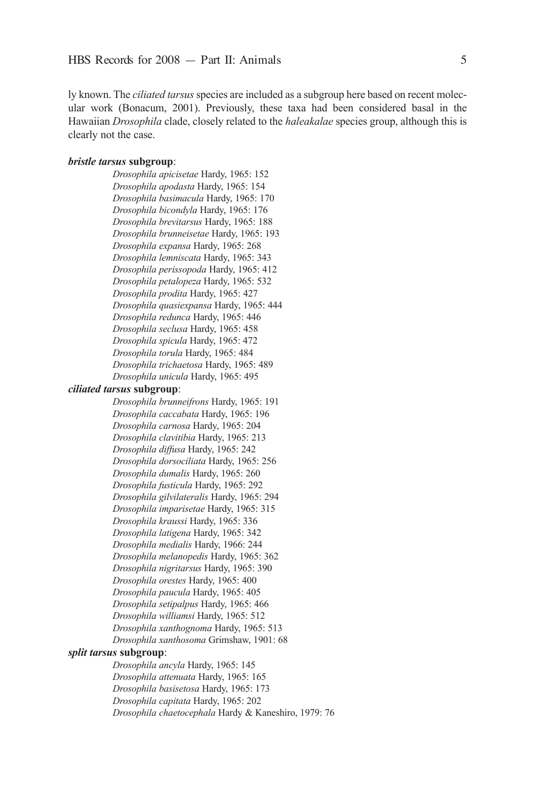ly known. The *ciliated tarsus* species are included as a subgroup here based on recent molecular work (Bonacum, 2001). Previously, these taxa had been considered basal in the Hawaiian *Drosophila* clade, closely related to the *haleakalae* species group, although this is clearly not the case.

### *bristle tarsus* **subgroup**:

*Drosophila apicisetae* Hardy, 1965: 152 *Drosophila apodasta* Hardy, 1965: 154 *Drosophila basimacula* Hardy, 1965: 170 *Drosophila bicondyla* Hardy, 1965: 176 *Drosophila brevitarsus* Hardy, 1965: 188 *Drosophila brunneisetae* Hardy, 1965: 193 *Drosophila expansa* Hardy, 1965: 268 *Drosophila lemniscata* Hardy, 1965: 343 *Drosophila perissopoda* Hardy, 1965: 412 *Drosophila petalopeza* Hardy, 1965: 532 *Drosophila prodita* Hardy, 1965: 427 *Drosophila quasiexpansa* Hardy, 1965: 444 *Drosophila redunca* Hardy, 1965: 446 *Drosophila seclusa* Hardy, 1965: 458 *Drosophila spicula* Hardy, 1965: 472 *Drosophila torula* Hardy, 1965: 484 *Drosophila trichaetosa* Hardy, 1965: 489 *Drosophilaunicula* Hardy, 1965: 495

### *ciliated tarsus* **subgroup**:

*Drosophila brunneifrons* Hardy, 1965: 191 *Drosophila caccabata* Hardy, 1965: 196 *Drosophila carnosa* Hardy, 1965: 204 *Drosophila clavitibia* Hardy, 1965: 213 *Drosophila diffusa* Hardy, 1965: 242 *Drosophila dorsociliata* Hardy, 1965: 256 *Drosophila dumalis* Hardy, 1965: 260 *Drosophila fusticula* Hardy, 1965: 292 *Drosophila gilvilateralis* Hardy, 1965: 294 *Drosophila imparisetae* Hardy, 1965: 315 *Drosophila kraussi* Hardy, 1965: 336 *Drosophila latigena* Hardy, 1965: 342 *Drosophila medialis* Hardy, 1966: 244 *Drosophila melanopedis* Hardy, 1965: 362 *Drosophila nigritarsus* Hardy, 1965: 390 *Drosophila orestes* Hardy, 1965: 400 *Drosophila paucula* Hardy, 1965: 405 *Drosophila setipalpus* Hardy, 1965: 466 *Drosophila williamsi* Hardy, 1965: 512 *Drosophila xanthognoma* Hardy, 1965: 513 *Drosophila xanthosoma* Grimshaw, 1901: 68

### *split tarsus* **subgroup**:

*Drosophila ancyla* Hardy, 1965: 145 *Drosophila attenuata* Hardy, 1965: 165 *Drosophila basisetosa* Hardy, 1965: 173 *Drosophila capitata* Hardy, 1965: 202 *Drosophila chaetocephala* Hardy & Kaneshiro, 1979: 76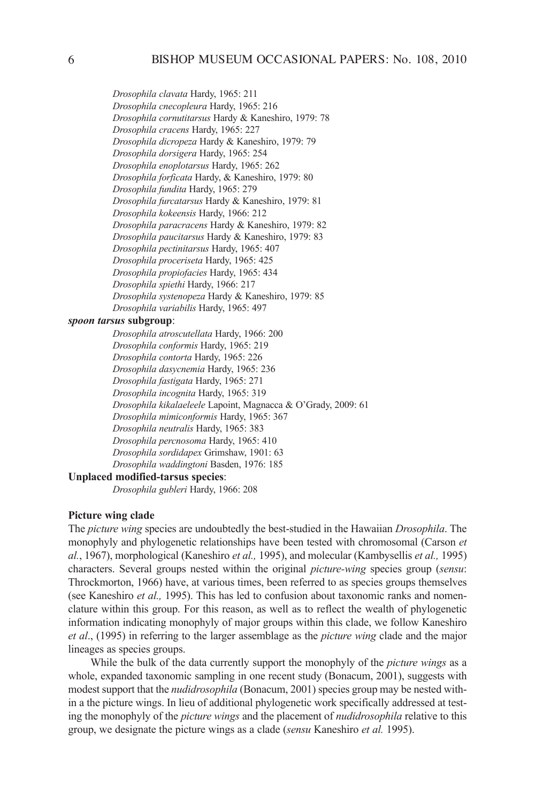*Drosophila clavata* Hardy, 1965: 211 *Drosophila cnecopleura* Hardy, 1965: 216 *Drosophila cornutitarsus* Hardy & Kaneshiro, 1979: 78 *Drosophila cracens* Hardy, 1965: 227 *Drosophila dicropeza* Hardy & Kaneshiro, 1979: 79 *Drosophila dorsigera* Hardy, 1965: 254 *Drosophila enoplotarsus* Hardy, 1965: 262 *Drosophila forficata* Hardy, & Kaneshiro, 1979: 80 *Drosophila fundita* Hardy, 1965: 279 *Drosophila furcatarsus* Hardy & Kaneshiro, 1979: 81 *Drosophila kokeensis* Hardy, 1966: 212 *Drosophila paracracens* Hardy & Kaneshiro, 1979: 82 *Drosophila paucitarsus* Hardy & Kaneshiro, 1979: 83 *Drosophila pectinitarsus* Hardy, 1965: 407 *Drosophila proceriseta* Hardy, 1965: 425 *Drosophila propiofacies* Hardy, 1965: 434 *Drosophila spiethi* Hardy, 1966: 217 *Drosophila systenopeza* Hardy & Kaneshiro, 1979: 85 *Drosophila variabilis* Hardy, 1965: 497

### *spoon tarsus* **subgroup**:

*Drosophila atroscutellata* Hardy, 1966: 200 *Drosophila conformis* Hardy, 1965: 219 *Drosophila contorta* Hardy, 1965: 226 *Drosophila dasycnemia* Hardy, 1965: 236 *Drosophilafastigata* Hardy, 1965: 271 *Drosophila incognita* Hardy, 1965: 319 *Drosophilakikalaeleele*Lapoint, Magnacca & O'Grady, 2009: 61 *Drosophila mimiconformis* Hardy, 1965: 367 *Drosophila neutralis* Hardy, 1965: 383 *Drosophila percnosoma* Hardy, 1965: 410 *Drosophila sordidapex* Grimshaw, 1901: 63 *Drosophila waddingtoni* Basden, 1976: 185

## **Unplaced modified-tarsus species**:

*Drosophila gubleri* Hardy, 1966: 208

## **Picture wing clade**

The *picturewing* species are undoubtedly the best-studied in the Hawaiian *Drosophila*. The monophyly and phylogenetic relationships have been tested with chromosomal (carson *et al.*, 1967), morphological (Kaneshiro *etal.,* 1995), and molecular (Kambysellis *etal.,* 1995) characters. Several groups nested within the original *picture-wing* species group (*sensu*: Throckmorton, 1966) have, at various times, been referred to as species groups themselves (see Kaneshiro *etal.,* 1995). This has led to confusion about taxonomic ranks and nomenclature within this group. For this reason, as well as to reflect the wealth of phylogenetic information indicating monophyly of major groups within this clade, we follow Kaneshiro *etal*., (1995) in referring to the larger assemblage as the *picturewing* clade and the major lineages as species groups.

While the bulk of the data currently support the monophyly of the *picture wings* as a whole, expanded taxonomic sampling in one recent study (Bonacum, 2001), suggests with modest support that the *nudidrosophila* (Bonacum, 2001) species group may be nested within a the picture wings. in lieu of additional phylogenetic work specifically addressed at testing the monophyly of the *picturewings* and the placement of *nudidrosophila* relative to this group, we designate the picture wings as a clade (*sensu* Kaneshiro *etal.* 1995).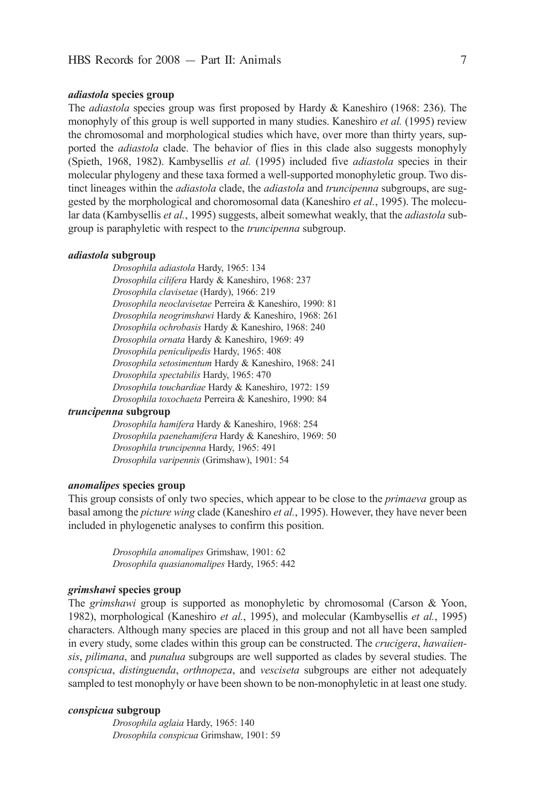### *adiastola* **species group**

The *adiastola* species group was first proposed by Hardy & Kaneshiro (1968: 236). The monophyly of this group is well supported in many studies. Kaneshiro *etal.* (1995) review the chromosomal and morphological studies which have, over more than thirty years, supported the *adiastola* clade. The behavior of flies in this clade also suggests monophyly (Spieth, 1968, 1982). Kambysellis *et al.* (1995) included five *adiastola* species in their molecular phylogeny and these taxa formed a well-supported monophyletic group. Two distinct lineages within the *adiastola* clade, the *adiastola* and *truncipenna* subgroups, are suggested by the morphological and choromosomal data (Kaneshiro *etal.*, 1995). The molecular data (Kambysellis *etal.*, 1995) suggests, albeit somewhat weakly, that the *adiastola* subgroup is paraphyletic with respect to the *truncipenna* subgroup.

#### *adiastola* **subgroup**

*Drosophilaadiastola* Hardy, 1965: 134 *Drosophilacilifera* Hardy & Kaneshiro, 1968: 237 *Drosophilaclavisetae* (Hardy), 1966: 219 *Drosophilaneoclavisetae* Perreira & Kaneshiro, 1990: 81 *Drosophilaneogrimshawi* Hardy & Kaneshiro, 1968: 261 *Drosophilaochrobasis* Hardy & Kaneshiro, 1968: 240 *Drosophilaornata* Hardy & Kaneshiro, 1969: 49 Drosophila peniculipedis Hardy, 1965: 408 *Drosophilasetosimentum* Hardy & Kaneshiro, 1968: 241 *Drosophilaspectabilis* Hardy, 1965: 470 *Drosophilatouchardiae* Hardy & Kaneshiro, 1972: 159 *Drosophilatoxochaeta* Perreira & Kaneshiro, 1990: 84

## *truncipenna* **subgroup**

*Drosophilahamifera* Hardy & Kaneshiro, 1968: 254 *Drosophilapaenehamifera* Hardy & Kaneshiro, 1969: 50 *Drosophilatruncipenna* Hardy, 1965: 491 *Drosophilavaripennis* (Grimshaw), 1901: 54

## *anomalipes* **species group**

This group consists of only two species, which appear to be close to the *primaeva* group as basal among the *picture wing* clade (Kaneshiro et al., 1995). However, they have never been included in phylogenetic analyses to confirm this position.

> *Drosophilaanomalipes* Grimshaw, 1901: 62 *Drosophilaquasianomalipes* Hardy, 1965: 442

## *grimshawi* **species group**

The *grimshawi* group is supported as monophyletic by chromosomal (Carson & Yoon, 1982), morphological (Kaneshiro *et al.*, 1995), and molecular (Kambysellis *et al.*, 1995) characters. although many species are placed in this group and not all have been sampled in every study, some clades within this group can be constructed. The *crucigera*, *hawaiiensis*, *pilimana*, and *punalua* subgroups are well supported as clades by several studies. The *conspicua*, *distinguenda*, *orthnopeza*, and *vesciseta* subgroups are either not adequately sampled to test monophyly or have been shown to be non-monophyletic in at least one study.

## *conspicua* **subgroup**

*Drosophilaaglaia* Hardy, 1965: 140 *Drosophilaconspicua* Grimshaw, 1901: 59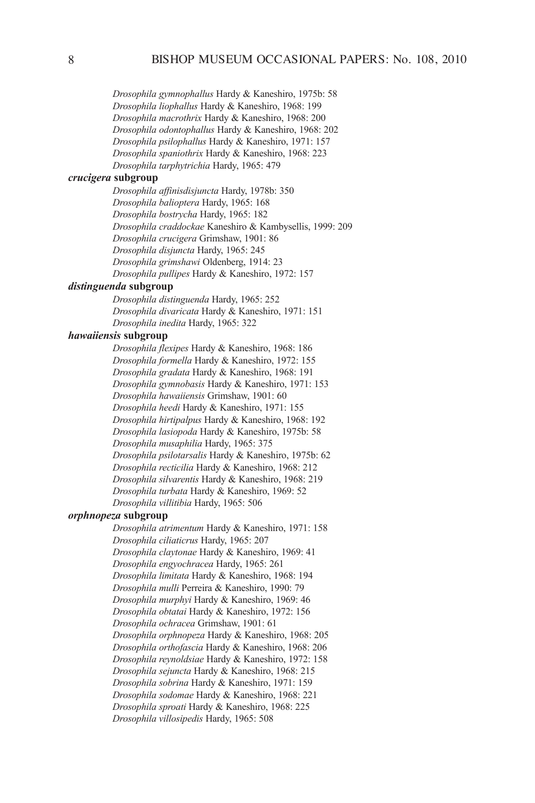*Drosophilagymnophallus* Hardy & Kaneshiro, 1975b: 58 *Drosophilaliophallus* Hardy & Kaneshiro, 1968: 199 *Drosophilamacrothrix* Hardy & Kaneshiro, 1968: 200 *Drosophilaodontophallus* Hardy & Kaneshiro, 1968: 202 *Drosophilapsilophallus* Hardy & Kaneshiro, 1971: 157 *Drosophilaspaniothrix* Hardy & Kaneshiro, 1968: 223 *Drosophilatarphytrichia* Hardy, 1965: 479

## *crucigera* **subgroup**

*Drosophilaaffinisdisjuncta* Hardy, 1978b: 350 *Drosophilabalioptera* Hardy, 1965: 168 *Drosophilabostrycha* Hardy, 1965: 182 *Drosophilacraddockae* Kaneshiro & Kambysellis, 1999: 209 *Drosophilacrucigera* Grimshaw, 1901: 86 *Drosophiladisjuncta* Hardy, 1965: 245 *Drosophilagrimshawi* Oldenberg, 1914: 23 *Drosophilapullipes* Hardy & Kaneshiro, 1972: 157

## *distinguenda* **subgroup**

*Drosophiladistinguenda* Hardy, 1965: 252 *Drosophiladivaricata* Hardy & Kaneshiro, 1971: 151 *Drosophilainedita* Hardy, 1965: 322

## *hawaiiensis* **subgroup**

*Drosophilaflexipes* Hardy & Kaneshiro, 1968: 186 *Drosophilaformella* Hardy & Kaneshiro, 1972: 155 *Drosophilagradata* Hardy & Kaneshiro, 1968: 191 *Drosophilagymnobasis* Hardy & Kaneshiro, 1971: 153 *Drosophilahawaiiensis* Grimshaw, 1901: 60 *Drosophilaheedi* Hardy & Kaneshiro, 1971: 155 *Drosophilahirtipalpus* Hardy & Kaneshiro, 1968: 192 *Drosophilalasiopoda* Hardy & Kaneshiro, 1975b: 58 *Drosophilamusaphilia* Hardy, 1965: 375 *Drosophilapsilotarsalis* Hardy & Kaneshiro, 1975b: 62 *Drosophilarecticilia* Hardy & Kaneshiro, 1968: 212 *Drosophilasilvarentis* Hardy & Kaneshiro, 1968: 219 *Drosophilaturbata* Hardy & Kaneshiro, 1969: 52 *Drosophilavillitibia* Hardy, 1965: 506

#### *orphnopeza* **subgroup**

*Drosophilaatrimentum* Hardy & Kaneshiro, 1971: 158 *Drosophilaciliaticrus* Hardy, 1965: 207 *Drosophilaclaytonae* Hardy & Kaneshiro, 1969: 41 *Drosophilaengyochracea* Hardy, 1965: 261 *Drosophilalimitata* Hardy & Kaneshiro, 1968: 194 *Drosophilamulli* Perreira & Kaneshiro, 1990: 79 *Drosophilamurphyi* Hardy & Kaneshiro, 1969: 46 *Drosophilaobtatai* Hardy & Kaneshiro, 1972: 156 *Drosophilaochracea* Grimshaw, 1901: 61 *Drosophilaorphnopeza* Hardy & Kaneshiro, 1968: 205 *Drosophilaorthofascia* Hardy & Kaneshiro, 1968: 206 *Drosophilareynoldsiae* Hardy & Kaneshiro, 1972: 158 *Drosophilasejuncta* Hardy & Kaneshiro, 1968: 215 *Drosophilasobrina* Hardy & Kaneshiro, 1971: 159 *Drosophilasodomae* Hardy & Kaneshiro, 1968: 221 *Drosophilasproati* Hardy & Kaneshiro, 1968: 225 *Drosophilavillosipedis* Hardy, 1965: 508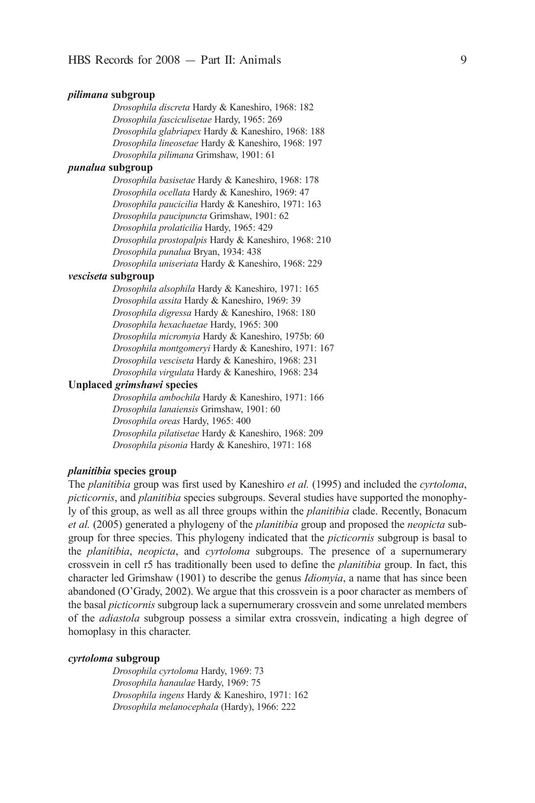### *pilimana* **subgroup**

*Drosophiladiscreta* Hardy & Kaneshiro, 1968: 182 *Drosophilafasciculisetae* Hardy, 1965: 269 *Drosophilaglabriapex* Hardy & Kaneshiro, 1968: 188 *Drosophilalineosetae* Hardy & Kaneshiro, 1968: 197 *Drosophilapilimana* Grimshaw, 1901: 61

## *punalua* **subgroup**

*Drosophilabasisetae* Hardy & Kaneshiro, 1968: 178 *Drosophilaocellata* Hardy & Kaneshiro, 1969: 47 *Drosophilapaucicilia* Hardy & Kaneshiro, 1971: 163 *Drosophila paucipuncta* Grimshaw, 1901: 62 *Drosophilaprolaticilia* Hardy, 1965: 429 *Drosophila prostopalpis* Hardy & Kaneshiro, 1968: 210 *Drosophilapunalua* Bryan, 1934: 438 *Drosophilauniseriata* Hardy & Kaneshiro, 1968: 229

### *vesciseta* **subgroup**

*Drosophilaalsophila* Hardy & Kaneshiro, 1971: 165 *Drosophilaassita* Hardy & Kaneshiro, 1969: 39 *Drosophiladigressa* Hardy & Kaneshiro, 1968: 180 *Drosophilahexachaetae* Hardy, 1965: 300 *Drosophilamicromyia* Hardy & Kaneshiro, 1975b: 60 *Drosophilamontgomeryi* Hardy & Kaneshiro, 1971: 167 *Drosophilavesciseta* Hardy & Kaneshiro, 1968: 231 *Drosophilavirgulata* Hardy & Kaneshiro, 1968: 234

### **Unplaced** *grimshawi* **species**

*Drosophilaambochila* Hardy & Kaneshiro, 1971: 166 *Drosophilalanaiensis* Grimshaw, 1901: 60 *Drosophilaoreas* Hardy, 1965: 400 *Drosophilapilatisetae* Hardy & Kaneshiro, 1968: 209 *Drosophilapisonia* Hardy & Kaneshiro, 1971: 168

## *planitibia* **species group**

The *planitibia* group was first used by Kaneshiro *etal.* (1995) and included the *cyrtoloma*, *picticornis*, and *planitibia* species subgroups. Several studies have supported the monophyly of this group, as well as all three groups within the *planitibia* clade. Recently, Bonacum *etal.* (2005) generated a phylogeny of the *planitibia* group and proposed the *neopicta* subgroup for three species. This phylogeny indicated that the *picticornis* subgroup is basal to the *planitibia*, *neopicta*, and *cyrtoloma* subgroups. The presence of a supernumerary crossvein in cell r5 has traditionally been used to define the *planitibia* group. in fact, this character led Grimshaw (1901) to describe the genus *Idiomyia*, a name that has since been abandoned (O'Grady, 2002). We argue that this crossvein is a poor character as members of the basal *picticornis* subgroup lack a supernumerary crossvein and some unrelated members of the *adiastola* subgroup possess a similar extra crossvein, indicating a high degree of homoplasy in this character.

### *cyrtoloma* **subgroup**

*Drosophilacyrtoloma* Hardy, 1969: 73 *Drosophilahanaulae* Hardy, 1969: 75 *Drosophilaingens* Hardy & Kaneshiro, 1971: 162 *Drosophilamelanocephala* (Hardy), 1966: 222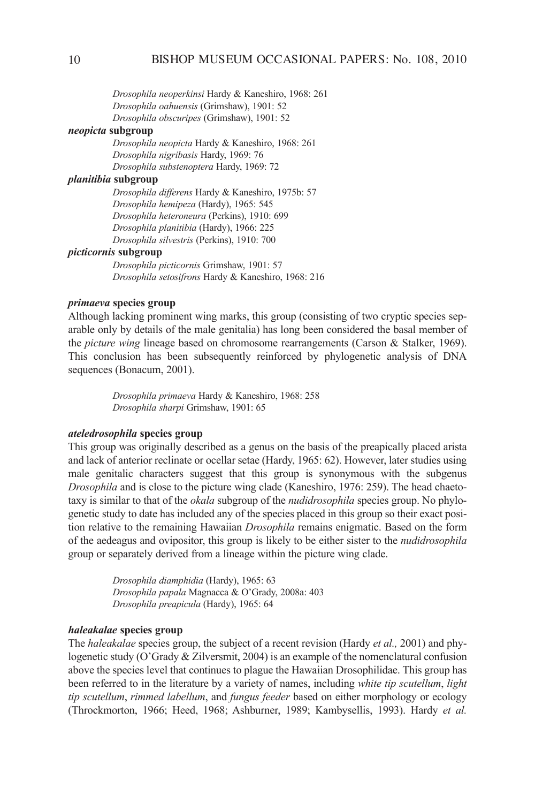*Drosophilaneoperkinsi* Hardy & Kaneshiro, 1968: 261 *Drosophilaoahuensis* (Grimshaw), 1901: 52 *Drosophilaobscuripes* (Grimshaw), 1901: 52

## *neopicta* **subgroup**

*Drosophilaneopicta* Hardy & Kaneshiro, 1968: 261 *Drosophilanigribasis* Hardy, 1969: 76 *Drosophilasubstenoptera* Hardy, 1969: 72

## *planitibia* **subgroup**

*Drosophiladifferens* Hardy & Kaneshiro, 1975b: 57 *Drosophilahemipeza* (Hardy), 1965: 545 *Drosophilaheteroneura* (Perkins), 1910: 699 *Drosophilaplanitibia* (Hardy), 1966: 225 *Drosophilasilvestris* (Perkins), 1910: 700

#### *picticornis* **subgroup**

*Drosophilapicticornis* Grimshaw, 1901: 57 *Drosophilasetosifrons* Hardy & Kaneshiro, 1968: 216

## *primaeva* **species group**

although lacking prominent wing marks, this group (consisting of two cryptic species separable only by details of the male genitalia) has long been considered the basal member of the *picture wing* lineage based on chromosome rearrangements (Carson & Stalker, 1969). This conclusion has been subsequently reinforced by phylogenetic analysis of DNA sequences (Bonacum, 2001).

> *Drosophilaprimaeva* Hardy & Kaneshiro, 1968: 258 *Drosophilasharpi* Grimshaw, 1901: 65

## *ateledrosophila* **species group**

This group was originally described as a genus on the basis of the preapically placed arista and lack of anterior reclinate or ocellar setae (Hardy, 1965: 62). However, later studies using male genitalic characters suggest that this group is synonymous with the subgenus *Drosophila* and is close to the picture wing clade (Kaneshiro, 1976: 259). The head chaetotaxy is similar to that of the *okala* subgroup of the *nudidrosophila* species group. No phylogenetic study to date has included any of the species placed in this group so their exact position relative to the remaining Hawaiian *Drosophila* remains enigmatic. Based on the form of the aedeagus and ovipositor, this group is likely to be either sister to the *nudidrosophila* group or separately derived from a lineage within the picture wing clade.

> *Drosophiladiamphidia* (Hardy), 1965: 63 *Drosophilapapala*Magnacca & O'Grady, 2008a: 403 *Drosophilapreapicula* (Hardy), 1965: 64

### *haleakalae* **species group**

The *haleakalae* species group, the subject of a recent revision (Hardy *etal.,* 2001) and phylogenetic study (O'Grady & Zilversmit, 2004) is an example of the nomenclatural confusion above the species level that continues to plague the Hawaiian Drosophilidae. This group has been referred to in the literature by a variety of names, including *white tip scutellum*, *light* tip scutellum, rimmed labellum, and *fungus feeder* based on either morphology or ecology (Throckmorton, 1966; Heed, 1968; ashburner, 1989; Kambysellis, 1993). Hardy *et al.*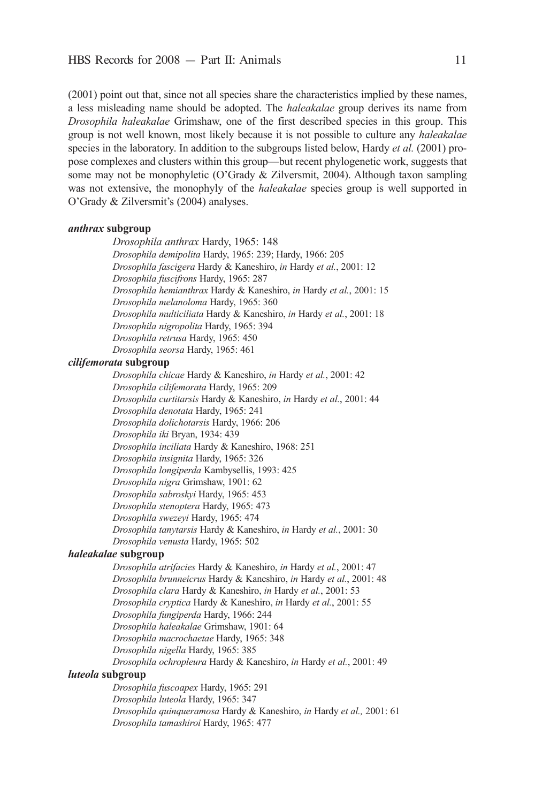(2001) point out that, since not all species share the characteristics implied by these names, a less misleading name should be adopted. The *haleakalae* group derives its name from *Drosophila haleakalae* Grimshaw, one of the first described species in this group. This group is not well known, most likely because it is not possible to culture any *haleakalae* species in the laboratory. in addition to the subgroups listed below, Hardy *etal.* (2001) propose complexes and clusters within this group—but recent phylogenetic work, suggests that some may not be monophyletic (O'Grady & Zilversmit, 2004). Although taxon sampling was not extensive, the monophyly of the *haleakalae* species group is well supported in O'Grady & Zilversmit's (2004) analyses.

## *anthrax* **subgroup**

*Drosophilaanthrax* Hardy, 1965: 148 *Drosophilademipolita* Hardy, 1965: 239; Hardy, 1966: 205 *Drosophilafascigera* Hardy & Kaneshiro, *in* Hardy *etal.*, 2001: 12 *Drosophilafuscifrons* Hardy, 1965: 287 *Drosophilahemianthrax* Hardy & Kaneshiro, *in* Hardy *etal.*, 2001: 15 *Drosophilamelanoloma* Hardy, 1965: 360 *Drosophilamulticiliata* Hardy & Kaneshiro, *in* Hardy *etal.*, 2001: 18 *Drosophilanigropolita* Hardy, 1965: 394 *Drosophilaretrusa* Hardy, 1965: 450 *Drosophilaseorsa* Hardy, 1965: 461

# *cilifemorata* **subgroup**

*Drosophilachicae* Hardy & Kaneshiro, *in* Hardy *etal.*, 2001: 42 *Drosophilacilifemorata* Hardy, 1965: 209 *Drosophilacurtitarsis* Hardy & Kaneshiro, *in* Hardy *etal.*, 2001: 44 *Drosophiladenotata* Hardy, 1965: 241 *Drosophiladolichotarsis* Hardy, 1966: 206 *Drosophilaiki* Bryan, 1934: 439 *Drosophilainciliata* Hardy & Kaneshiro, 1968: 251 *Drosophilainsignita* Hardy, 1965: 326 *Drosophilalongiperda*Kambysellis, 1993: 425 *Drosophilanigra* Grimshaw, 1901: 62 *Drosophilasabroskyi* Hardy, 1965: 453 *Drosophilastenoptera* Hardy, 1965: 473 *Drosophilaswezeyi* Hardy, 1965: 474 *Drosophilatanytarsis* Hardy & Kaneshiro, *in* Hardy *etal.*, 2001: 30 *Drosophilavenusta* Hardy, 1965: 502

## *haleakalae* **subgroup**

*Drosophilaatrifacies* Hardy & Kaneshiro, *in* Hardy *etal.*, 2001: 47 *Drosophilabrunneicrus* Hardy & Kaneshiro, *in* Hardy *etal.*, 2001: 48 *Drosophilaclara* Hardy & Kaneshiro, *in* Hardy *etal.*, 2001: 53 *Drosophilacryptica* Hardy & Kaneshiro, *in* Hardy *etal.*, 2001: 55 *Drosophilafungiperda* Hardy, 1966: 244 *Drosophilahaleakalae* Grimshaw, 1901: 64 *Drosophilamacrochaetae* Hardy, 1965: 348 *Drosophilanigella* Hardy, 1965: 385 *Drosophilaochropleura* Hardy & Kaneshiro, *in* Hardy *etal.*, 2001: 49 *luteola* **subgroup**

*Drosophilafuscoapex* Hardy, 1965: 291 *Drosophilaluteola* Hardy, 1965: 347 *Drosophilaquinqueramosa* Hardy & Kaneshiro, *in* Hardy *etal.,* 2001: 61 *Drosophilatamashiroi* Hardy, 1965: 477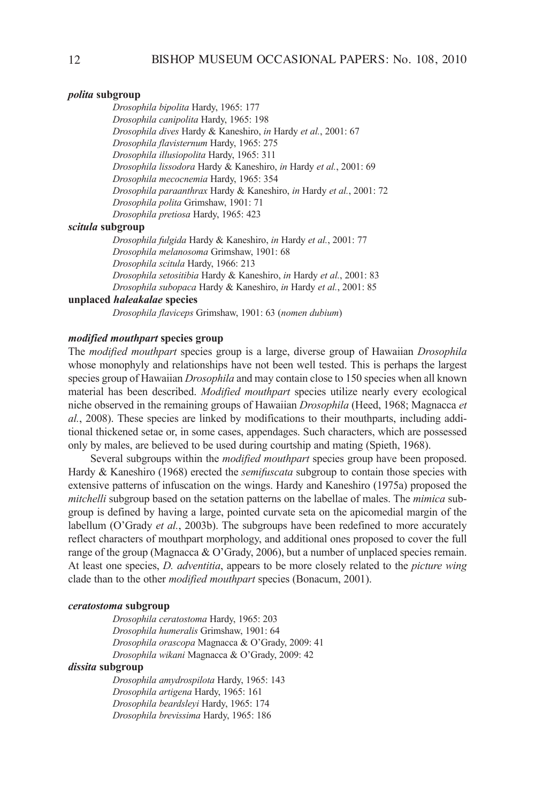## *polita* **subgroup**

*Drosophilabipolita* Hardy, 1965: 177 *Drosophilacanipolita* Hardy, 1965: 198 *Drosophiladives* Hardy & Kaneshiro, *in* Hardy *etal.*, 2001: 67 *Drosophilaflavisternum* Hardy, 1965: 275 *Drosophilaillusiopolita* Hardy, 1965: 311 *Drosophilalissodora* Hardy & Kaneshiro, *in* Hardy *etal.*, 2001: 69 *Drosophilamecocnemia* Hardy, 1965: 354 *Drosophilaparaanthrax* Hardy & Kaneshiro, *in* Hardy *etal.*, 2001: 72 *Drosophilapolita* Grimshaw, 1901: 71 *Drosophilapretiosa* Hardy, 1965: 423

## *scitula* **subgroup**

*Drosophilafulgida* Hardy & Kaneshiro, *in* Hardy *etal.*, 2001: 77 *Drosophilamelanosoma* Grimshaw, 1901: 68 *Drosophilascitula* Hardy, 1966: 213 *Drosophilasetositibia* Hardy & Kaneshiro, *in* Hardy *etal.*, 2001: 83 *Drosophilasubopaca* Hardy & Kaneshiro, *in* Hardy *etal.*, 2001: 85

### **unplaced** *haleakalae* **species**

*Drosophilaflaviceps* Grimshaw, 1901: 63 (*nomen dubium*)

## *modified mouthpart* **species group**

The *modifiedmouthpart* species group is a large, diverse group of Hawaiian *Drosophila* whose monophyly and relationships have not been well tested. This is perhaps the largest species group of Hawaiian *Drosophila* and may contain close to 150 species when all known material has been described. *Modified mouthpart*species utilize nearly every ecological niche observed in the remaining groups of Hawaiian *Drosophila* (Heed, 1968; Magnacca *et al.*, 2008). These species are linked by modifications to their mouthparts, including additional thickened setae or, in some cases, appendages. Such characters, which are possessed only by males, are believed to be used during courtship and mating (Spieth, 1968).

Several subgroups within the *modified mouthpart* species group have been proposed. Hardy & Kaneshiro (1968) erected the *semifuscata* subgroup to contain those species with extensive patterns of infuscation on the wings. Hardy and Kaneshiro (1975a) proposed the *mitchelli* subgroup based on the setation patterns on the labellae of males. The *mimica* subgroup is defined by having a large, pointed curvate seta on the apicomedial margin of the labellum (O'Grady *et al.*, 2003b). The subgroups have been redefined to more accurately reflect characters of mouthpart morphology, and additional ones proposed to cover the full range of the group (Magnacca & O'Grady, 2006), but a number of unplaced species remain. at least one species, *D.adventitia*, appears to be more closely related to the *picturewing* clade than to the other *modifiedmouthpart* species (Bonacum, 2001).

## *ceratostoma* **subgroup**

*Drosophila ceratostoma*Hardy, 1965: 203 *Drosophila humeralis* Grimshaw, 1901: 64 *Drosophilaorascopa* Magnacca & O'Grady, 2009: 41 *Drosophilawikani*Magnacca & O'Grady, 2009: 42

## *dissita* **subgroup**

*Drosophila amydrospilota* Hardy, 1965: 143 *Drosophila artigena*Hardy, 1965: 161 *Drosophila beardsleyi* Hardy, 1965: 174 *Drosophila brevissima* Hardy, 1965: 186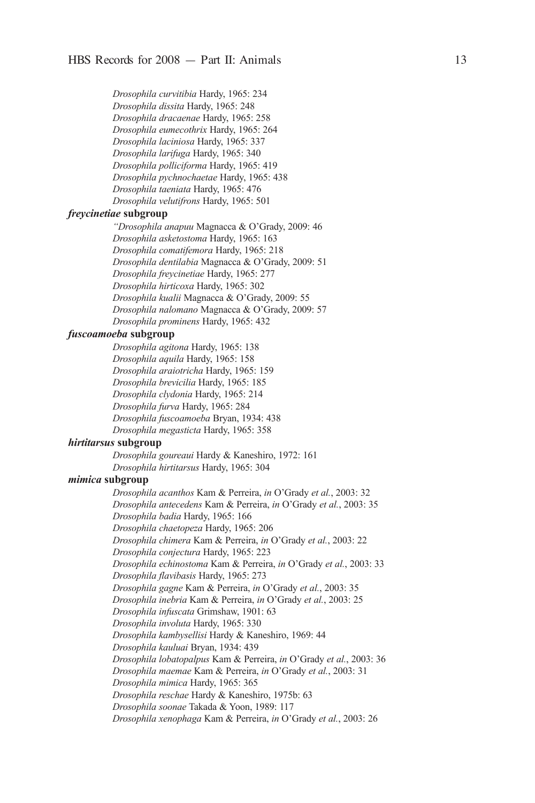*Drosophila curvitibia* Hardy, 1965: 234 *Drosophila dissita* Hardy, 1965: 248 *Drosophila dracaenae* Hardy, 1965: 258 *Drosophila eumecothrix* Hardy, 1965: 264 *Drosophila laciniosa* Hardy, 1965: 337 *Drosophila larifuga* Hardy, 1965: 340 *Drosophila polliciforma* Hardy, 1965: 419 *Drosophila pychnochaetae* Hardy, 1965: 438 *Drosophila taeniata* Hardy, 1965: 476 *Drosophila velutifrons* Hardy, 1965: 501

### *freycinetiae* **subgroup**

*"Drosophilaanapuu*Magnacca & O'Grady, 2009: 46 *Drosophila asketostoma* Hardy, 1965: 163 *Drosophila comatifemora* Hardy, 1965: 218 *Drosophiladentilabia*Magnacca & O'Grady, 2009: 51 *Drosophila freycinetiae* Hardy, 1965: 277 *Drosophila hirticoxa* Hardy, 1965: 302 *Drosophilakualii*Magnacca & O'Grady, 2009: 55 *Drosophilanalomano*Magnacca & O'Grady, 2009: 57 *Drosophila prominens* Hardy, 1965: 432

### *fuscoamoeba* **subgroup**

*Drosophila agitona* Hardy, 1965: 138 *Drosophila aquila* Hardy, 1965: 158 *Drosophila araiotricha* Hardy, 1965: 159 *Drosophila brevicilia* Hardy, 1965: 185 *Drosophila clydonia* Hardy, 1965: 214 *Drosophila furva* Hardy, 1965: 284 *Drosophila fuscoamoeba* Bryan, 1934: 438 *Drosophila megasticta* Hardy, 1965: 358

### *hirtitarsus* **subgroup**

*Drosophila goureaui* Hardy & Kaneshiro, 1972: 161 *Drosophila hirtitarsus* Hardy, 1965: 304

## *mimica* **subgroup**

*Drosophila acanthos* Kam & Perreira, *in* O'Grady *etal.*, 2003: 32 *Drosophila antecedens* Kam & Perreira, *in* O'Grady *etal.*, 2003: 35 *Drosophila badia* Hardy, 1965: 166 *Drosophilachaetopeza* Hardy, 1965: 206 *Drosophila chimera* Kam & Perreira, *in* O'Grady *etal.*, 2003: 22 *Drosophila conjectura* Hardy, 1965: 223 *Drosophila echinostoma* Kam & Perreira, *in* O'Grady *etal.*, 2003: 33 *Drosophila flavibasis* Hardy, 1965: 273 *Drosophila gagne* Kam & Perreira, *in* O'Grady *etal.*, 2003: 35 *Drosophila inebria* Kam & Perreira, *in* O'Grady *etal.*, 2003: 25 *Drosophila infuscata* Grimshaw, 1901: 63 *Drosophila involuta* Hardy, 1965: 330 *Drosophila kambysellisi* Hardy & Kaneshiro, 1969: 44 *Drosophila kauluai* Bryan, 1934: 439 *Drosophila lobatopalpus*Kam & Perreira, *in* O'Grady *etal.*, 2003: 36 *Drosophila maemae* Kam & Perreira, *in* O'Grady *etal.*, 2003: 31 *Drosophila mimica* Hardy, 1965: 365 *Drosophila reschae* Hardy & Kaneshiro, 1975b: 63 *Drosophila soonae* Takada & yoon, 1989: 117 *Drosophila xenophaga* Kam & Perreira, *in* O'Grady *etal.*, 2003: 26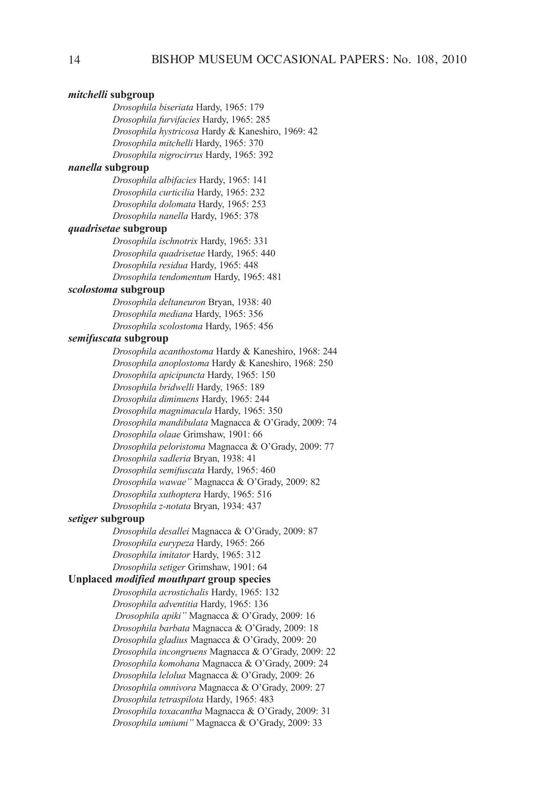## *mitchelli* **subgroup**

*Drosophila biseriata* Hardy, 1965: 179 *Drosophila furvifacies* Hardy, 1965: 285 *Drosophila hystricosa* Hardy & Kaneshiro, 1969: 42 *Drosophila mitchelli* Hardy, 1965: 370 *Drosophila nigrocirrus* Hardy, 1965: 392

### *nanella* **subgroup**

*Drosophila albifacies* Hardy, 1965: 141 *Drosophila curticilia* Hardy, 1965: 232 *Drosophila dolomata* Hardy, 1965: 253 *Drosophilananella* Hardy, 1965: 378

## *quadrisetae* **subgroup**

*Drosophilaischnotrix* Hardy, 1965: 331 *Drosophilaquadrisetae* Hardy, 1965: 440 Drosophila residua Hardy, 1965: 448 *Drosophilatendomentum* Hardy, 1965: 481

## *scolostoma* **subgroup**

*Drosophiladeltaneuron* Bryan, 1938: 40 *Drosophilamediana* Hardy, 1965: 356 *Drosophilascolostoma* Hardy, 1965: 456

### *semifuscata* **subgroup**

*Drosophila acanthostoma* Hardy & Kaneshiro, 1968: 244 *Drosophila anoplostoma* Hardy & Kaneshiro, 1968: 250 *Drosophila apicipuncta* Hardy, 1965: 150 *Drosophila bridwelli* Hardy, 1965: 189 *Drosophila diminuens* Hardy, 1965: 244 *Drosophila magnimacula* Hardy, 1965: 350 *Drosophilamandibulata*Magnacca & O'Grady, 2009: 74 *Drosophila olaae* Grimshaw, 1901: 66 *Drosophilapeloristoma*Magnacca & O'Grady, 2009: 77 *Drosophilasadleria*Bryan, 1938: 41 *Drosophila semifuscata* Hardy, 1965: 460 *Drosophilawawae"*Magnacca & O'Grady, 2009: 82 *Drosophila xuthoptera* Hardy, 1965: 516 *Drosophilaz-notata* Bryan, 1934: 437

### *setiger* **subgroup**

*Drosophiladesallei*Magnacca & O'Grady, 2009: 87 *Drosophilaeurypeza* Hardy, 1965: 266 *Drosophilaimitator* Hardy, 1965: 312 *Drosophilasetiger* Grimshaw, 1901: 64

#### **Unplaced** *modified mouthpart* **group species**

*Drosophila acrostichalis* Hardy, 1965: 132 *Drosophila adventitia* Hardy, 1965: 136 *Drosophilaapiki"*Magnacca & O'Grady, 2009: 16 *Drosophilabarbata*Magnacca & O'Grady, 2009: 18 *Drosophilagladius*Magnacca & O'Grady, 2009: 20 *Drosophilaincongruens*Magnacca & O'Grady, 2009: 22 *Drosophilakomohana*Magnacca & O'Grady, 2009: 24 *Drosophilalelolua*Magnacca & O'Grady, 2009: 26 *Drosophilaomnivora*Magnacca & O'Grady, 2009: 27 *Drosophilatetraspilota* Hardy, 1965: 483 *Drosophilatoxacantha*Magnacca & O'Grady, 2009: 31 *Drosophilaumiumi"*Magnacca & O'Grady, 2009: 33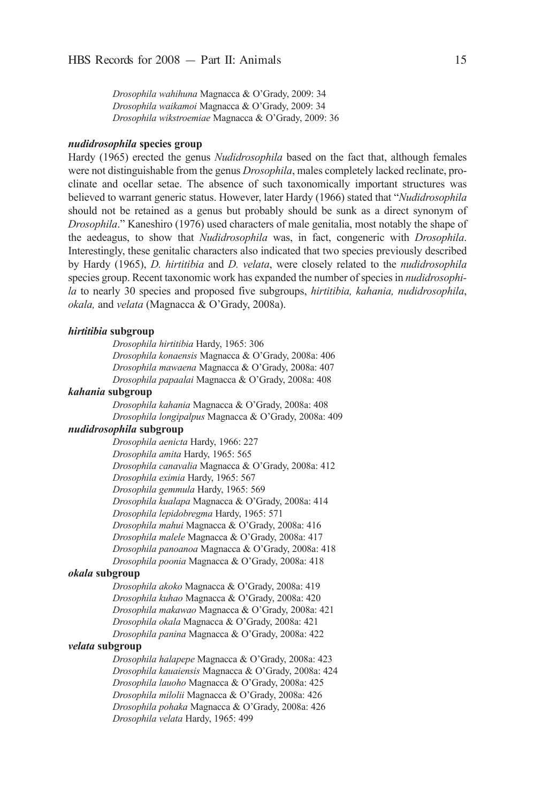*Drosophilawahihuna*Magnacca & O'Grady, 2009: 34 *Drosophilawaikamoi*Magnacca & O'Grady, 2009: 34 *Drosophilawikstroemiae*Magnacca & O'Grady, 2009: 36

## *nudidrosophila* **species group**

Hardy (1965) erected the genus *Nudidrosophila* based on the fact that, although females were not distinguishable from the genus *Drosophila*, males completely lacked reclinate, proclinate and ocellar setae. The absence of such taxonomically important structures was believed to warrant generic status. However, later Hardy (1966) stated that "*Nudidrosophila* should not be retained as a genus but probably should be sunk as a direct synonym of *Drosophila*." Kaneshiro (1976) used characters of male genitalia, most notably the shape of the aedeagus, to show that *Nudidrosophila* was, in fact, congeneric with *Drosophila*. interestingly, these genitalic characters also indicated that two species previously described by Hardy (1965), *D. hirtitibia* and *D. velata*, were closely related to the *nudidrosophila* species group. Recent taxonomic work has expanded the number of species in *nudidrosophila* to nearly 30 species and proposed five subgroups, *hirtitibia, kahania, nudidrosophila*, *okala,* and *velata* (Magnacca & O'Grady, 2008a).

### *hirtitibia* **subgroup**

*Drosophilahirtitibia* Hardy, 1965: 306 *Drosophilakonaensis* Magnacca & O'Grady, 2008a: 406 *Drosophilamawaena*Magnacca & O'Grady, 2008a: 407 *Drosophilapapaalai* Magnacca & O'Grady, 2008a: 408

## *kahania* **subgroup**

*Drosophilakahania*Magnacca & O'Grady, 2008a: 408 *Drosophilalongipalpus* Magnacca & O'Grady, 2008a: 409

#### *nudidrosophila* **subgroup**

*Drosophilaaenicta* Hardy, 1966: 227 *Drosophilaamita* Hardy, 1965: 565 *Drosophilacanavalia*Magnacca & O'Grady, 2008a: 412 *Drosophilaeximia* Hardy, 1965: 567 *Drosophilagemmula* Hardy, 1965: 569 *Drosophilakualapa*Magnacca & O'Grady, 2008a: 414 *Drosophilalepidobregma* Hardy, 1965: 571 *Drosophilamahui*Magnacca & O'Grady, 2008a: 416 *Drosophilamalele*Magnacca & O'Grady, 2008a: 417 *Drosophilapanoanoa*Magnacca & O'Grady, 2008a: 418 *Drosophilapoonia*Magnacca & O'Grady, 2008a: 418

## *okala* **subgroup**

*Drosophilaakoko*Magnacca & O'Grady, 2008a: 419 *Drosophilakuhao*Magnacca & O'Grady, 2008a: 420 *Drosophilamakawao*Magnacca & O'Grady, 2008a: 421 *Drosophilaokala*Magnacca & O'Grady, 2008a: 421 *Drosophilapanina* Magnacca & O'Grady, 2008a: 422

## *velata* **subgroup**

*Drosophilahalapepe*Magnacca & O'Grady, 2008a: 423 *Drosophilakauaiensis*Magnacca & O'Grady, 2008a: 424 *Drosophilalauoho*Magnacca & O'Grady, 2008a: 425 *Drosophilamilolii*Magnacca & O'Grady, 2008a: 426 *Drosophilapohaka*Magnacca & O'Grady, 2008a: 426 *Drosophilavelata* Hardy, 1965: 499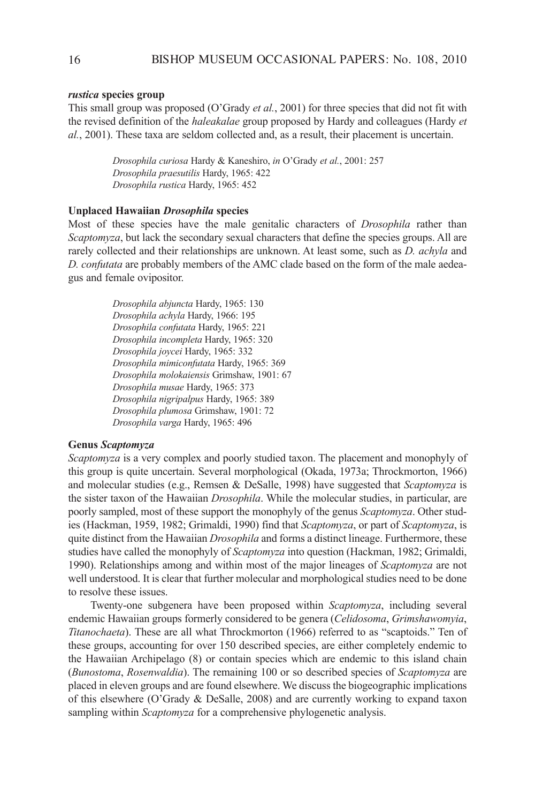## *rustica* **species group**

This small group was proposed (O'Grady *etal.*, 2001) for three species that did not fit with the revised definition of the *haleakalae* group proposed by Hardy and colleagues (Hardy *et al.*, 2001). These taxa are seldom collected and, as a result, their placement is uncertain.

> *Drosophilacuriosa* Hardy & Kaneshiro, *in* O'Grady *etal.*, 2001: 257 *Drosophilapraesutilis* Hardy, 1965: 422 *Drosophila rustica* Hardy, 1965: 452

## **Unplaced Hawaiian** *Drosophila* **species**

Most of these species have the male genitalic characters of *Drosophila* rather than *Scaptomyza*, but lack the secondary sexual characters that define the species groups. All are rarely collected and their relationships are unknown. At least some, such as *D. achyla* and *D.confutata* are probably members of the aMc clade based on the form of the male aedeagus and female ovipositor.

> *Drosophilaabjuncta* Hardy, 1965: 130 *Drosophilaachyla* Hardy, 1966: 195 *Drosophilaconfutata* Hardy, 1965: 221 *Drosophilaincompleta* Hardy, 1965: 320 *Drosophila joycei* Hardy, 1965: 332 *Drosophilamimiconfutata* Hardy, 1965: 369 *Drosophilamolokaiensis* Grimshaw, 1901: 67 *Drosophilamusae* Hardy, 1965: 373 *Drosophilanigripalpus* Hardy, 1965: 389 *Drosophilaplumosa* Grimshaw, 1901: 72 *Drosophilavarga* Hardy, 1965: 496

## **Genus** *Scaptomyza*

*Scaptomyza* is a very complex and poorly studied taxon. The placement and monophyly of this group is quite uncertain. Several morphological (Okada, 1973a; Throckmorton, 1966) and molecular studies (e.g., Remsen & DeSalle, 1998) have suggested that *Scaptomyza* is the sister taxon of the Hawaiian *Drosophila*. While the molecular studies, in particular, are poorly sampled, most of these support the monophyly of the genus *Scaptomyza*. Other studies (Hackman, 1959, 1982; Grimaldi, 1990) find that *Scaptomyza*, or part of *Scaptomyza*, is quite distinct from the Hawaiian *Drosophila* and forms a distinct lineage. Furthermore, these studies have called the monophyly of *Scaptomyza* into question (Hackman, 1982; Grimaldi, 1990). Relationships among and within most of the major lineages of *Scaptomyza* are not well understood. it is clear that further molecular and morphological studies need to be done to resolve these issues.

Twenty-one subgenera have been proposed within *Scaptomyza*, including several endemic Hawaiian groups formerly considered to be genera (*Celidosoma*, *Grimshawomyia*, *Titanochaeta*). These are all what Throckmorton (1966) referred to as "scaptoids." Ten of these groups, accounting for over 150 described species, are either completely endemic to the Hawaiian archipelago (8) or contain species which are endemic to this island chain (*Bunostoma*, *Rosenwaldia*). The remaining 100 or so described species of *Scaptomyza* are placed in eleven groups and are found elsewhere. We discuss the biogeographic implications of this elsewhere (O'Grady  $&$  DeSalle, 2008) and are currently working to expand taxon sampling within *Scaptomyza* for a comprehensive phylogenetic analysis.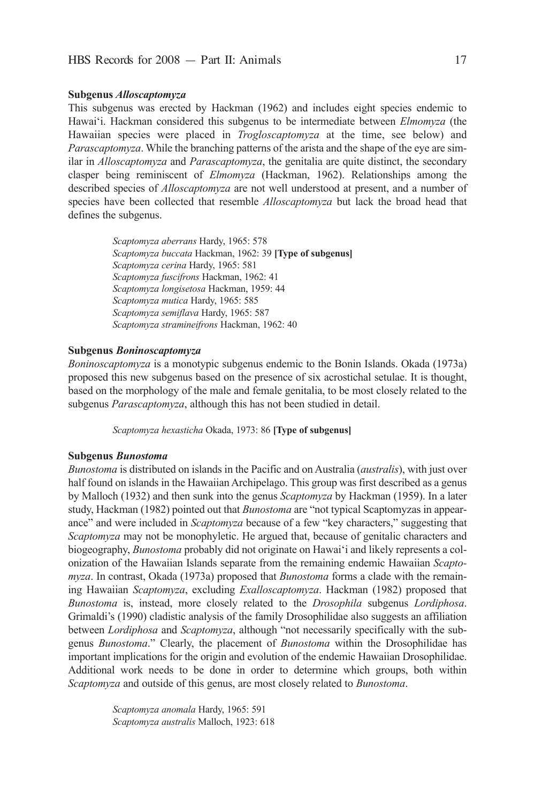## **Subgenus** *Alloscaptomyza*

This subgenus was erected by Hackman (1962) and includes eight species endemic to Hawai'i. Hackman considered this subgenus to be intermediate between *Elmomyza* (the Hawaiian species were placed in *Trogloscaptomyza* at the time, see below) and *Parascaptomyza*. While the branching patterns of the arista and the shape of the eye are similar in *Alloscaptomyza* and *Parascaptomyza*, the genitalia are quite distinct, the secondary clasper being reminiscent of *Elmomyza* (Hackman, 1962). Relationships among the described species of *Alloscaptomyza* are not well understood at present, and a number of species have been collected that resemble *Alloscaptomyza* but lack the broad head that defines the subgenus.

> *Scaptomyzaaberrans* Hardy, 1965: 578 *Scaptomyzabuccata* Hackman, 1962: 39 **[Type of subgenus]** *Scaptomyzacerina* Hardy, 1965: 581 *Scaptomyzafuscifrons* Hackman, 1962: 41 *Scaptomyzalongisetosa* Hackman, 1959: 44 *Scaptomyzamutica* Hardy, 1965: 585 *Scaptomyzasemiflava* Hardy, 1965: 587 *Scaptomyzastramineifrons* Hackman, 1962: 40

## **Subgenus** *Boninoscaptomyza*

*Boninoscaptomyza* is a monotypic subgenus endemic to the Bonin islands. Okada (1973a) proposed this new subgenus based on the presence of six acrostichal setulae. it is thought, based on the morphology of the male and female genitalia, to be most closely related to the subgenus *Parascaptomyza*, although this has not been studied in detail.

*Scaptomyzahexasticha* Okada, 1973: 86 **[Type of subgenus]**

### **Subgenus** *Bunostoma*

*Bunostoma* is distributed on islands in the Pacific and on Australia *(australis)*, with just over half found on islands in the Hawaiian Archipelago. This group was first described as a genus by Malloch (1932) and then sunk into the genus *Scaptomyza* by Hackman (1959). in a later study, Hackman (1982) pointed out that *Bunostoma* are "not typical Scaptomyzas in appearance" and were included in *Scaptomyza* because of a few "key characters," suggesting that *Scaptomyza* may not be monophyletic. He argued that, because of genitalic characters and biogeography, *Bunostoma* probably did not originate on Hawai'i and likely represents a colonization of the Hawaiian islands separate from the remaining endemic Hawaiian *Scapto myza*. in contrast, Okada (1973a) proposed that *Bunostoma* forms a clade with the remaining Hawaiian *Scaptomyza*, excluding *Exalloscaptomyza*. Hackman (1982) proposed that *Bunostoma* is, instead, more closely related to the *Drosophila* subgenus *Lordiphosa*. Grimaldi's (1990) cladistic analysis of the family Drosophilidae also suggests an affiliation between *Lordiphosa* and *Scaptomyza*, although "not necessarily specifically with the subgenus *Bunostoma*." Clearly, the placement of *Bunostoma* within the Drosophilidae has important implications for the origin and evolution of the endemic Hawaiian Drosophilidae. additional work needs to be done in order to determine which groups, both within *Scaptomyza* and outside of this genus, are most closely related to *Bunostoma*.

> *Scaptomyzaanomala* Hardy, 1965: 591 *Scaptomyzaaustralis* Malloch, 1923: 618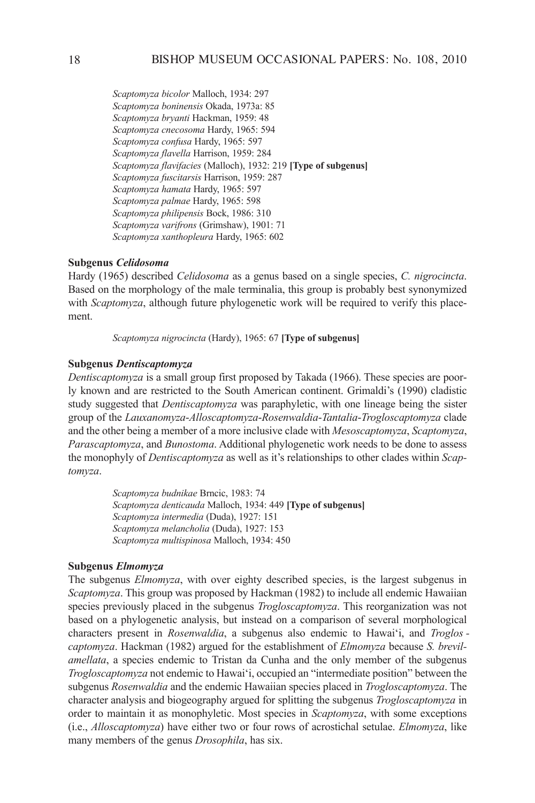*Scaptomyzabicolor* Malloch, 1934: 297 *Scaptomyzaboninensis* Okada, 1973a: 85 *Scaptomyzabryanti* Hackman, 1959: 48 *Scaptomyzacnecosoma* Hardy, 1965: 594 *Scaptomyzaconfusa* Hardy, 1965: 597 *Scaptomyzaflavella* Harrison, 1959: 284 *Scaptomyzaflavifacies*(Malloch), 1932: 219 **[Type of subgenus]** *Scaptomyzafuscitarsis* Harrison, 1959: 287 *Scaptomyzahamata* Hardy, 1965: 597 Scaptomyza palmae Hardy, 1965: 598 *Scaptomyzaphilipensis* Bock, 1986: 310 *Scaptomyzavarifrons* (Grimshaw), 1901: 71 *Scaptomyzaxanthopleura* Hardy, 1965: 602

### **Subgenus** *Celidosoma*

Hardy (1965) described *Celidosoma* as a genus based on a single species, *C.nigrocincta*. Based on the morphology of the male terminalia, this group is probably best synonymized with *Scaptomyza*, although future phylogenetic work will be required to verify this placement.

*Scaptomyzanigrocincta* (Hardy), 1965: 67 **[Type of subgenus]**

## **Subgenus** *Dentiscaptomyza*

*Dentiscaptomyza* is a small group first proposed by Takada (1966). These species are poorly known and are restricted to the South American continent. Grimaldi's (1990) cladistic study suggested that *Dentiscaptomyza* was paraphyletic, with one lineage being the sister group of the *Lauxanomyza*-*Alloscaptomyza*-*Rosenwaldia*-*Tantalia*-*Trogloscaptomyza* clade and the other being a member of a more inclusive clade with *Mesoscaptomyza*, *Scaptomyza*, *Parascaptomyza*, and *Bunostoma*. Additional phylogenetic work needs to be done to assess the monophyly of *Dentiscaptomyza* as well as it's relationships to other clades within *Scap tomyza*.

> *Scaptomyzabudnikae* Brncic, 1983: 74 *Scaptomyzadenticauda* Malloch, 1934: 449 **[Type of subgenus]** *Scaptomyza intermedia* (Duda), 1927: 151 *Scaptomyza melancholia* (Duda), 1927: 153 *Scaptomyzamultispinosa* Malloch, 1934: 450

## **Subgenus** *Elmomyza*

The subgenus *Elmomyza*, with over eighty described species, is the largest subgenus in *Scaptomyza*. This group was proposed by Hackman (1982) to include all endemic Hawaiian species previously placed in the subgenus *Trogloscaptomyza*. This reorganization was not based on a phylogenetic analysis, but instead on a comparison of several morphological characters present in *Rosenwaldia*, a subgenus also endemic to Hawai'i, and *Troglos captomyza*. Hackman (1982) argued for the establishment of *Elmomyza* because *S.brevilamellata*, a species endemic to Tristan da cunha and the only member of the subgenus *Trogloscaptomyza* not endemic to Hawai'i, occupied an "intermediate position" between the subgenus *Rosenwaldia* and the endemic Hawaiian species placed in *Trogloscaptomyza*. The character analysis and biogeography argued for splitting the subgenus *Trogloscaptomyza* in order to maintain it as monophyletic. Most species in *Scaptomyza*, with some exceptions (i.e., *Alloscaptomyza*) have either two or four rows of acrostichal setulae. *Elmomyza*, like many members of the genus *Drosophila*, has six.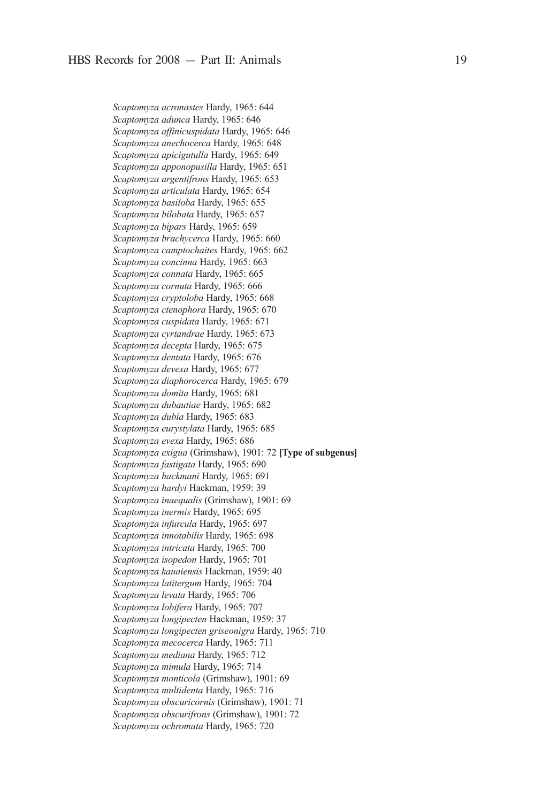*Scaptomyzaacronastes* Hardy, 1965: 644 *Scaptomyzaadunca* Hardy, 1965: 646 *Scaptomyzaaffinicuspidata* Hardy, 1965: 646 *Scaptomyzaanechocerca* Hardy, 1965: 648 *Scaptomyzaapicigutulla* Hardy, 1965: 649 *Scaptomyzaapponopusilla* Hardy, 1965: 651 *Scaptomyzaargentifrons* Hardy, 1965: 653 *Scaptomyzaarticulata* Hardy, 1965: 654 *Scaptomyzabasiloba* Hardy, 1965: 655 *Scaptomyzabilobata* Hardy, 1965: 657 *Scaptomyzabipars* Hardy, 1965: 659 *Scaptomyzabrachycerca* Hardy, 1965: 660 *Scaptomyzacamptochaites* Hardy, 1965: 662 Scaptomyza concinna Hardy, 1965: 663 *Scaptomyzaconnata* Hardy, 1965: 665 *Scaptomyzacornuta* Hardy, 1965: 666 *Scaptomyzacryptoloba* Hardy, 1965: 668 *Scaptomyzactenophora* Hardy, 1965: 670 *Scaptomyzacuspidata* Hardy, 1965: 671 *Scaptomyzacyrtandrae* Hardy, 1965: 673 *Scaptomyzadecepta* Hardy, 1965: 675 *Scaptomyzadentata* Hardy, 1965: 676 *Scaptomyzadevexa* Hardy, 1965: 677 *Scaptomyzadiaphorocerca* Hardy, 1965: 679 *Scaptomyzadomita* Hardy, 1965: 681 *Scaptomyzadubautiae* Hardy, 1965: 682 *Scaptomyzadubia* Hardy, 1965: 683 *Scaptomyzaeurystylata* Hardy, 1965: 685 *Scaptomyzaevexa* Hardy, 1965: 686 *Scaptomyzaexigua* (Grimshaw), 1901: 72 **[Type of subgenus]** *Scaptomyzafastigata* Hardy, 1965: 690 *Scaptomyzahackmani* Hardy, 1965: 691 *Scaptomyzahardyi* Hackman, 1959: 39 *Scaptomyzainaequalis* (Grimshaw), 1901: 69 *Scaptomyzainermis* Hardy, 1965: 695 *Scaptomyzainfurcula* Hardy, 1965: 697 *Scaptomyzainnotabilis* Hardy, 1965: 698 *Scaptomyzaintricata* Hardy, 1965: 700 *Scaptomyzaisopedon* Hardy, 1965: 701 *Scaptomyzakauaiensis* Hackman, 1959: 40 *Scaptomyzalatitergum* Hardy, 1965: 704 *Scaptomyzalevata* Hardy, 1965: 706 *Scaptomyzalobifera* Hardy, 1965: 707 *Scaptomyzalongipecten* Hackman, 1959: 37 *Scaptomyzalongipectengriseonigra* Hardy, 1965: 710 *Scaptomyzamecocerca* Hardy, 1965: 711 *Scaptomyzamediana* Hardy, 1965: 712 *Scaptomyzamimula* Hardy, 1965: 714 *Scaptomyzamonticola* (Grimshaw), 1901: 69 *Scaptomyzamultidenta* Hardy, 1965: 716 *Scaptomyzaobscuricornis* (Grimshaw), 1901: 71 *Scaptomyzaobscurifrons* (Grimshaw), 1901: 72 *Scaptomyzaochromata* Hardy, 1965: 720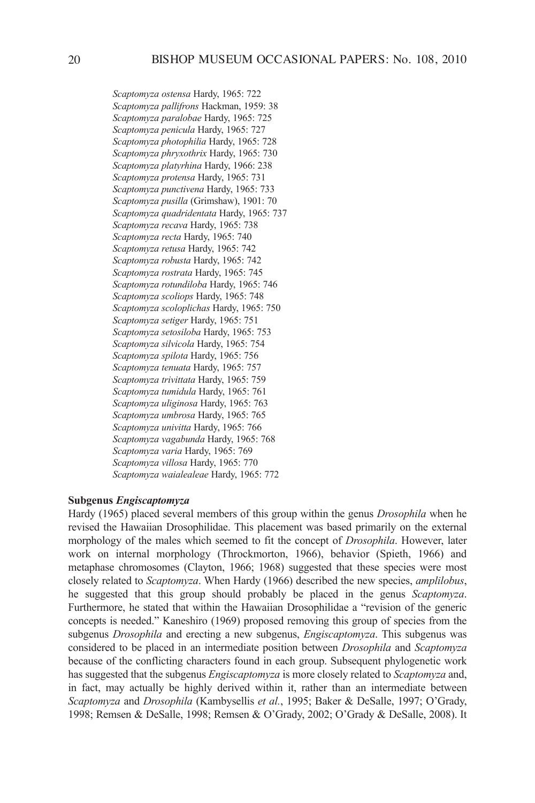*Scaptomyzaostensa* Hardy, 1965: 722 *Scaptomyzapallifrons* Hackman, 1959: 38 *Scaptomyzaparalobae* Hardy, 1965: 725 *Scaptomyzapenicula* Hardy, 1965: 727 *Scaptomyza photophilia* Hardy, 1965: 728 *Scaptomyzaphryxothrix* Hardy, 1965: 730 *Scaptomyzaplatyrhina* Hardy, 1966: 238 *Scaptomyzaprotensa* Hardy, 1965: 731 *Scaptomyzapunctivena* Hardy, 1965: 733 *Scaptomyzapusilla* (Grimshaw), 1901: 70 *Scaptomyzaquadridentata* Hardy, 1965: 737 *Scaptomyzarecava* Hardy, 1965: 738 *Scaptomyzarecta* Hardy, 1965: 740 *Scaptomyzaretusa* Hardy, 1965: 742 *Scaptomyzarobusta* Hardy, 1965: 742 *Scaptomyzarostrata* Hardy, 1965: 745 *Scaptomyzarotundiloba* Hardy, 1965: 746 *Scaptomyzascoliops* Hardy, 1965: 748 *Scaptomyzascoloplichas* Hardy, 1965: 750 *Scaptomyzasetiger* Hardy, 1965: 751 *Scaptomyzasetosiloba* Hardy, 1965: 753 *Scaptomyzasilvicola* Hardy, 1965: 754 *Scaptomyzaspilota* Hardy, 1965: 756 *Scaptomyzatenuata* Hardy, 1965: 757 *Scaptomyzatrivittata* Hardy, 1965: 759 *Scaptomyzatumidula* Hardy, 1965: 761 *Scaptomyzauliginosa* Hardy, 1965: 763 *Scaptomyzaumbrosa* Hardy, 1965: 765 *Scaptomyzaunivitta* Hardy, 1965: 766 *Scaptomyzavagabunda* Hardy, 1965: 768 *Scaptomyzavaria* Hardy, 1965: 769 *Scaptomyzavillosa* Hardy, 1965: 770 *Scaptomyzawaialealeae* Hardy, 1965: 772

## **Subgenus** *Engiscaptomyza*

Hardy (1965) placed several members of this group within the genus *Drosophila* when he revised the Hawaiian Drosophilidae. This placement was based primarily on the external morphology of the males which seemed to fit the concept of *Drosophila*. However, later work on internal morphology (Throckmorton, 1966), behavior (Spieth, 1966) and metaphase chromosomes (clayton, 1966; 1968) suggested that these species were most closely related to *Scaptomyza*. When Hardy (1966) described the new species, *amplilobus*, he suggested that this group should probably be placed in the genus *Scaptomyza*. Furthermore, he stated that within the Hawaiian Drosophilidae a "revision of the generic concepts is needed." Kaneshiro (1969) proposed removing this group of species from the subgenus *Drosophila* and erecting a new subgenus, *Engiscaptomyza*. This subgenus was considered to be placed in an intermediate position between *Drosophila* and *Scaptomyza* because of the conflicting characters found in each group. Subsequent phylogenetic work has suggested that the subgenus *Engiscaptomyza* is more closely related to *Scaptomyza* and, in fact, may actually be highly derived within it, rather than an intermediate between *Scaptomyza* and *Drosophila* (Kambysellis *et al.*, 1995; Baker & DeSalle, 1997; O'Grady, 1998; Remsen & DeSalle, 1998; Remsen & O'Grady, 2002; O'Grady & DeSalle, 2008). It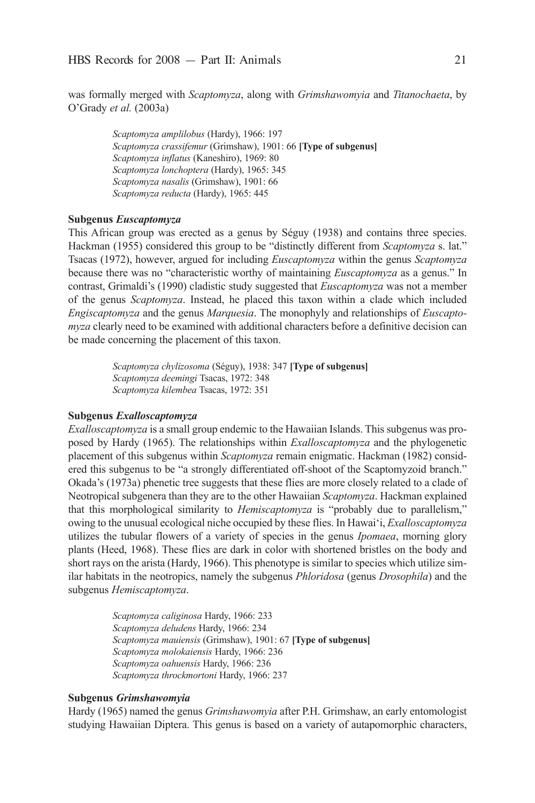was formally merged with *Scaptomyza*, along with *Grimshawomyia* and *Titanochaeta*, by O'Grady *etal.* (2003a)

> *Scaptomyzaamplilobus* (Hardy), 1966: 197 *Scaptomyzacrassifemur* (Grimshaw), 1901: 66 **[Type of subgenus]** *Scaptomyzainflatus* (Kaneshiro), 1969: 80 *Scaptomyzalonchoptera* (Hardy), 1965: 345 *Scaptomyzanasalis* (Grimshaw), 1901: 66 *Scaptomyzareducta* (Hardy), 1965: 445

## **Subgenus** *Euscaptomyza*

This african group was erected as a genus by Séguy (1938) and contains three species. Hackman (1955) considered this group to be "distinctly different from *Scaptomyza* s. lat." Tsacas (1972), however, argued for including *Euscaptomyza* within the genus *Scaptomyza* because there was no "characteristic worthy of maintaining *Euscaptomyza* as a genus." in contrast, Grimaldi's (1990) cladistic study suggested that *Euscaptomyza* was not a member of the genus *Scaptomyza*. instead, he placed this taxon within a clade which included *Engiscaptomyza* and the genus *Marquesia*. The monophyly and relationships of *Euscapto myza* clearly need to be examined with additional characters before a definitive decision can be made concerning the placement of this taxon.

> *Scaptomyzachylizosoma* (Séguy), 1938: 347 **[Type of subgenus]** *Scaptomyzadeemingi* Tsacas, 1972: 348 *Scaptomyzakilembea* Tsacas, 1972: 351

## **Subgenus** *Exalloscaptomyza*

*Exalloscaptomyza* is a small group endemic to the Hawaiian islands. This subgenus was proposed by Hardy (1965). The relationships within *Exalloscaptomyza* and the phylogenetic placement of this subgenus within *Scaptomyza* remain enigmatic. Hackman (1982) considered this subgenus to be "a strongly differentiated off-shoot of the Scaptomyzoid branch." Okada's (1973a) phenetic tree suggests that these flies are more closely related to a clade of Neotropical subgenera than they are to the other Hawaiian *Scaptomyza*. Hackman explained that this morphological similarity to *Hemiscaptomyza* is "probably due to parallelism," owing to the unusual ecological niche occupied by these flies. in Hawai'i, *Exalloscaptomyza* utilizes the tubular flowers of a variety of species in the genus *Ipomaea*, morning glory plants (Heed, 1968). These flies are dark in color with shortened bristles on the body and short rays on the arista (Hardy, 1966). This phenotype is similar to species which utilize similar habitats in the neotropics, namely the subgenus *Phloridosa* (genus *Drosophila*) and the subgenus *Hemiscaptomyza*.

> *Scaptomyzacaliginosa* Hardy, 1966: 233 *Scaptomyzadeludens* Hardy, 1966: 234 *Scaptomyzamauiensis* (Grimshaw), 1901: 67 **[Type of subgenus]** *Scaptomyzamolokaiensis* Hardy, 1966: 236 *Scaptomyzaoahuensis* Hardy, 1966: 236 *Scaptomyzathrockmortoni* Hardy, 1966: 237

#### **Subgenus** *Grimshawomyia*

Hardy (1965) named the genus *Grimshawomyia* after P.H. Grimshaw, an early entomologist studying Hawaiian Diptera. This genus is based on a variety of autapomorphic characters,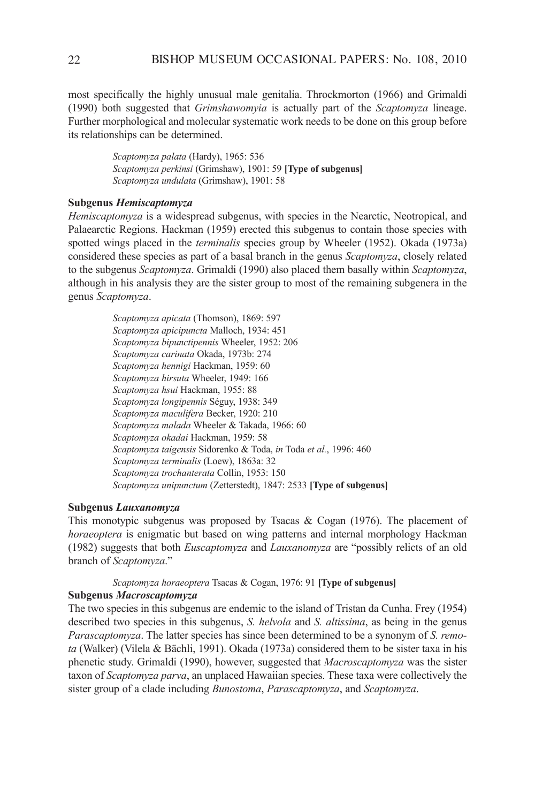most specifically the highly unusual male genitalia. Throckmorton (1966) and Grimaldi (1990) both suggested that *Grimshawomyia* is actually part of the *Scaptomyza* lineage. Further morphological and molecular systematic work needs to be done on this group before its relationships can be determined.

> *Scaptomyzapalata* (Hardy), 1965: 536 *Scaptomyza perkinsi* (Grimshaw), 1901: 59 **[Type of subgenus]** *Scaptomyzaundulata* (Grimshaw), 1901: 58

## **Subgenus** *Hemiscaptomyza*

*Hemiscaptomyza* is a widespread subgenus, with species in the Nearctic, Neotropical, and Palaearctic Regions. Hackman (1959) erected this subgenus to contain those species with spotted wings placed in the *terminalis* species group by Wheeler (1952). Okada (1973a) considered these species as part of a basal branch in the genus *Scaptomyza*, closely related to the subgenus *Scaptomyza*. Grimaldi (1990) also placed them basally within *Scaptomyza*, although in his analysis they are the sister group to most of the remaining subgenera in the genus *Scaptomyza*.

> *Scaptomyzaapicata* (Thomson), 1869: 597 *Scaptomyzaapicipuncta* Malloch, 1934: 451 *Scaptomyzabipunctipennis* Wheeler, 1952: 206 *Scaptomyzacarinata* Okada, 1973b: 274 *Scaptomyzahennigi* Hackman, 1959: 60 *Scaptomyzahirsuta* Wheeler, 1949: 166 *Scaptomyzahsui* Hackman, 1955: 88 *Scaptomyzalongipennis* Séguy, 1938: 349 *Scaptomyzamaculifera* Becker, 1920: 210 *Scaptomyzamalada* Wheeler & Takada, 1966: 60 *Scaptomyzaokadai* Hackman, 1959: 58 *Scaptomyzataigensis* Sidorenko & Toda, *in* Toda *etal.*, 1996: 460 *Scaptomyzaterminalis* (Loew), 1863a: 32 *Scaptomyzatrochanterata* collin, 1953: 150 *Scaptomyzaunipunctum* (Zetterstedt), 1847: 2533 **[Type of subgenus]**

### **Subgenus** *Lauxanomyza*

This monotypic subgenus was proposed by Tsacas  $\&$  Cogan (1976). The placement of *horaeoptera* is enigmatic but based on wing patterns and internal morphology Hackman (1982) suggests that both *Euscaptomyza* and *Lauxanomyza* are "possibly relicts of an old branch of *Scaptomyza*."

# *Scaptomyzahoraeoptera* Tsacas & cogan, 1976: 91 **[Type of subgenus]**

## **Subgenus** *Macroscaptomyza*

The two species in this subgenus are endemic to the island of Tristan da cunha. Frey (1954) described two species in this subgenus, *S. helvola* and *S. altissima*, as being in the genus *Parascaptomyza*. The latter species has since been determined to be a synonym of *S. remota* (Walker) (Vilela & Bächli, 1991). Okada (1973a) considered them to be sister taxa in his phenetic study. Grimaldi (1990), however, suggested that *Macroscaptomyza* was the sister taxon of *Scaptomyza parva*, an unplaced Hawaiian species. These taxa were collectively the sister group of a clade including *Bunostoma*, *Parascaptomyza*, and *Scaptomyza*.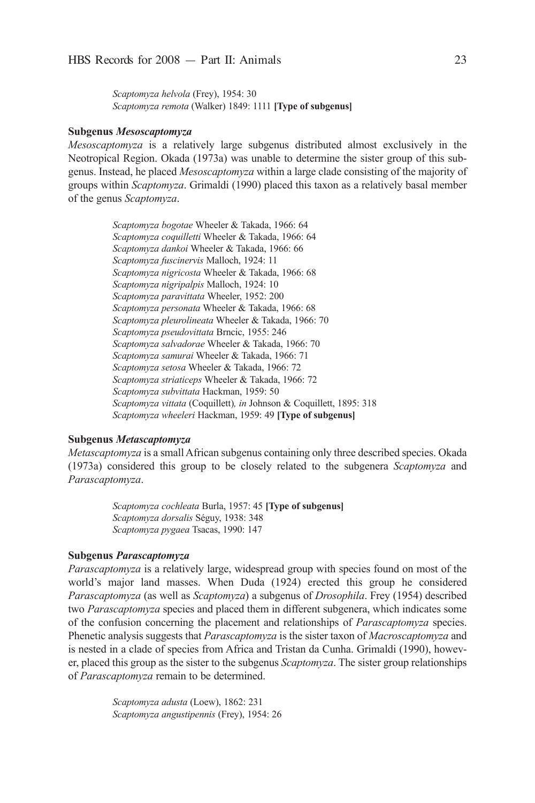*Scaptomyzahelvola* (Frey), 1954: 30 *Scaptomyzaremota* (Walker) 1849: 1111 **[Type of subgenus]**

### **Subgenus** *Mesoscaptomyza*

*Mesoscaptomyza* is a relatively large subgenus distributed almost exclusively in the Neotropical Region. Okada (1973a) was unable to determine the sister group of this subgenus. instead, he placed *Mesoscaptomyza* within a large clade consisting of the majority of groups within *Scaptomyza*. Grimaldi (1990) placed this taxon as a relatively basal member of the genus *Scaptomyza*.

> *Scaptomyzabogotae* Wheeler & Takada, 1966: 64 *Scaptomyzacoquilletti* Wheeler & Takada, 1966: 64 *Scaptomyzadankoi* Wheeler & Takada, 1966: 66 *Scaptomyzafuscinervis* Malloch, 1924: 11 *Scaptomyzanigricosta* Wheeler & Takada, 1966: 68 *Scaptomyzanigripalpis* Malloch, 1924: 10 *Scaptomyzaparavittata* Wheeler, 1952: 200 *Scaptomyzapersonata* Wheeler & Takada, 1966: 68 *Scaptomyzapleurolineata* Wheeler & Takada, 1966: 70 *Scaptomyzapseudovittata* Brncic, 1955: 246 *Scaptomyzasalvadorae* Wheeler & Takada, 1966: 70 *Scaptomyzasamurai* Wheeler & Takada, 1966: 71 *Scaptomyzasetosa* Wheeler & Takada, 1966: 72 *Scaptomyzastriaticeps* Wheeler & Takada, 1966: 72 *Scaptomyzasubvittata* Hackman, 1959: 50 Scaptomyza vittata (Coquillett), in Johnson & Coquillett, 1895: 318 *Scaptomyzawheeleri* Hackman, 1959: 49 **[Type of subgenus]**

## **Subgenus** *Metascaptomyza*

*Metascaptomyza* is a small african subgenus containing only three described species. Okada (1973a) considered this group to be closely related to the subgenera *Scaptomyza* and *Parascaptomyza*.

> *Scaptomyzacochleata* Burla, 1957: 45 **[Type of subgenus]** *Scaptomyzadorsalis* Séguy, 1938: 348 *Scaptomyzapygaea* Tsacas, 1990: 147

## **Subgenus** *Parascaptomyza*

*Parascaptomyza* is a relatively large, widespread group with species found on most of the world's major land masses. When Duda (1924) erected this group he considered *Parascaptomyza* (as well as *Scaptomyza*) a subgenus of *Drosophila*. Frey (1954) described two *Parascaptomyza* species and placed them in different subgenera, which indicates some of the confusion concerning the placement and relationships of *Parascaptomyza* species. Phenetic analysis suggests that *Parascaptomyza* is the sister taxon of *Macroscaptomyza* and is nested in a clade of species from Africa and Tristan da Cunha. Grimaldi (1990), however, placed this group as the sister to the subgenus *Scaptomyza*. The sister group relationships of *Parascaptomyza* remain to be determined.

> *Scaptomyzaadusta* (Loew), 1862: 231 *Scaptomyzaangustipennis* (Frey), 1954: 26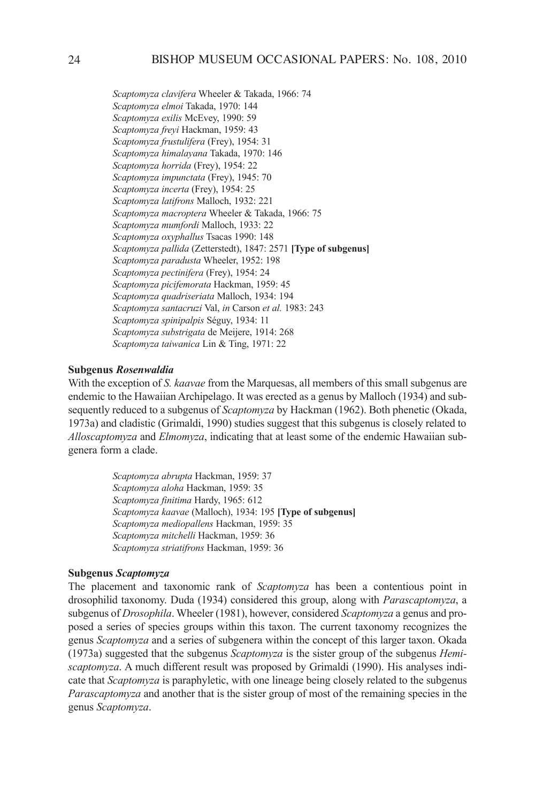*Scaptomyzaclavifera* Wheeler & Takada, 1966: 74 *Scaptomyzaelmoi* Takada, 1970: 144 *Scaptomyzaexilis* McEvey, 1990: 59 *Scaptomyzafreyi* Hackman, 1959: 43 *Scaptomyzafrustulifera* (Frey), 1954: 31 *Scaptomyzahimalayana* Takada, 1970: 146 *Scaptomyzahorrida* (Frey), 1954: 22 *Scaptomyzaimpunctata* (Frey), 1945: 70 *Scaptomyzaincerta* (Frey), 1954: 25 *Scaptomyzalatifrons* Malloch, 1932: 221 *Scaptomyzamacroptera* Wheeler & Takada, 1966: 75 *Scaptomyzamumfordi* Malloch, 1933: 22 *Scaptomyzaoxyphallus* Tsacas 1990: 148 *Scaptomyzapallida* (Zetterstedt), 1847: 2571 **[Type of subgenus]** *Scaptomyzaparadusta* Wheeler, 1952: 198 *Scaptomyzapectinifera* (Frey), 1954: 24 *Scaptomyzapicifemorata* Hackman, 1959: 45 *Scaptomyzaquadriseriata* Malloch, 1934: 194 *Scaptomyzasantacruzi* Val, *in* carson *etal.* 1983: 243 *Scaptomyzaspinipalpis* Séguy, 1934: 11 *Scaptomyzasubstrigata* de Meijere, 1914: 268 *Scaptomyzataiwanica* Lin & Ting, 1971: 22

## **Subgenus** *Rosenwaldia*

With the exception of *S.kaavae* from the Marquesas, all members of this small subgenus are endemic to the Hawaiian archipelago. it was erected as a genus by Malloch (1934) and subsequently reduced to a subgenus of *Scaptomyza* by Hackman (1962). Both phenetic (Okada, 1973a) and cladistic (Grimaldi, 1990) studies suggest that this subgenus is closely related to *Alloscaptomyza* and *Elmomyza*, indicating that at least some of the endemic Hawaiian subgenera form a clade.

> *Scaptomyzaabrupta* Hackman, 1959: 37 *Scaptomyzaaloha* Hackman, 1959: 35 *Scaptomyzafinitima* Hardy, 1965: 612 *Scaptomyzakaavae* (Malloch), 1934: 195 **[Type of subgenus]** *Scaptomyzamediopallens* Hackman, 1959: 35 *Scaptomyzamitchelli* Hackman, 1959: 36 *Scaptomyzastriatifrons* Hackman, 1959: 36

## **Subgenus** *Scaptomyza*

The placement and taxonomic rank of *Scaptomyza* has been a contentious point in drosophilid taxonomy. Duda (1934) considered this group, along with *Parascaptomyza*, a subgenus of *Drosophila*. Wheeler (1981), however, considered *Scaptomyza* a genus and proposed a series of species groups within this taxon. The current taxonomy recognizes the genus *Scaptomyza* and a series of subgenera within the concept of this larger taxon. Okada (1973a) suggested that the subgenus *Scaptomyza* is the sister group of the subgenus *Hemi scaptomyza*. A much different result was proposed by Grimaldi (1990). His analyses indicate that *Scaptomyza* is paraphyletic, with one lineage being closely related to the subgenus *Parascaptomyza* and another that is the sister group of most of the remaining species in the genus *Scaptomyza*.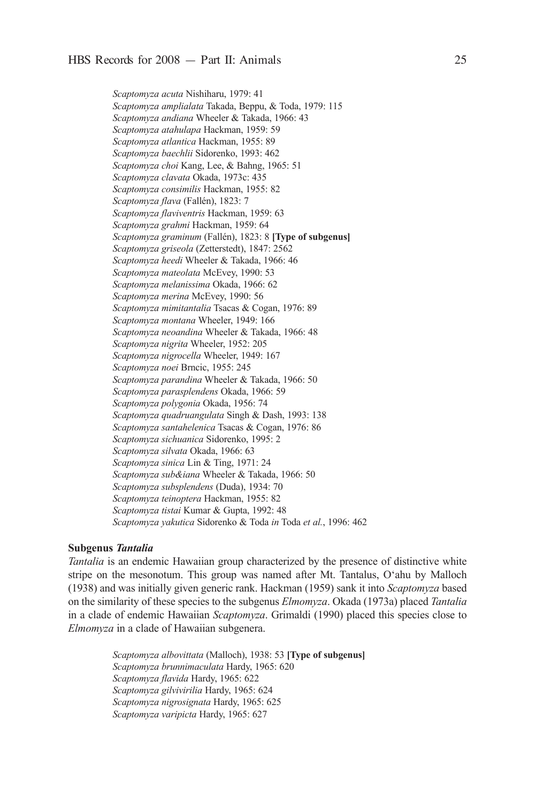*Scaptomyzaacuta* Nishiharu, 1979: 41 *Scaptomyzaamplialata* Takada, Beppu, & Toda, 1979: 115 *Scaptomyzaandiana* Wheeler & Takada, 1966: 43 *Scaptomyzaatahulapa* Hackman, 1959: 59 *Scaptomyzaatlantica* Hackman, 1955: 89 *Scaptomyzabaechlii*Sidorenko, 1993: 462 *Scaptomyzachoi* Kang, Lee, & Bahng, 1965: 51 *Scaptomyzaclavata* Okada, 1973c: 435 *Scaptomyzaconsimilis* Hackman, 1955: 82 *Scaptomyzaflava* (Fallén), 1823: 7 *Scaptomyzaflaviventris* Hackman, 1959: 63 *Scaptomyzagrahmi* Hackman, 1959: 64 *Scaptomyzagraminum* (Fallén), 1823: 8 **[Type of subgenus]** *Scaptomyzagriseola* (Zetterstedt), 1847: 2562 *Scaptomyzaheedi* Wheeler & Takada, 1966: 46 *Scaptomyzamateolata* McEvey, 1990: 53 *Scaptomyzamelanissima* Okada, 1966: 62 *Scaptomyzamerina* McEvey, 1990: 56 *Scaptomyzamimitantalia* Tsacas & cogan, 1976: 89 *Scaptomyzamontana* Wheeler, 1949: 166 *Scaptomyzaneoandina* Wheeler & Takada, 1966: 48 *Scaptomyzanigrita* Wheeler, 1952: 205 *Scaptomyzanigrocella* Wheeler, 1949: 167 *Scaptomyzanoei* Brncic, 1955: 245 *Scaptomyzaparandina* Wheeler & Takada, 1966: 50 *Scaptomyzaparasplendens* Okada, 1966: 59 *Scaptomyzapolygonia* Okada, 1956: 74 *Scaptomyza quadruangulata* Singh & Dash, 1993: 138 *Scaptomyzasantahelenica* Tsacas & cogan, 1976: 86 *Scaptomyzasichuanica* Sidorenko, 1995: 2 *Scaptomyzasilvata* Okada, 1966: 63 *Scaptomyzasinica* Lin & Ting, 1971: 24 *Scaptomyzasub&iana* Wheeler & Takada, 1966: 50 *Scaptomyza subsplendens* (Duda), 1934: 70 *Scaptomyzateinoptera* Hackman, 1955: 82 *Scaptomyzatistai* Kumar & Gupta, 1992: 48 *Scaptomyzayakutica* Sidorenko & Toda *in* Toda *etal.*, 1996: 462

### **Subgenus** *Tantalia*

*Tantalia* is an endemic Hawaiian group characterized by the presence of distinctive white stripe on the mesonotum. This group was named after Mt. Tantalus, O'ahu by Malloch (1938) and was initially given generic rank. Hackman (1959) sank it into *Scaptomyza* based on the similarity of these species to the subgenus *Elmomyza*. Okada (1973a) placed *Tantalia* in a clade of endemic Hawaiian *Scaptomyza*. Grimaldi (1990) placed this species close to *Elmomyza* in a clade of Hawaiian subgenera.

> *Scaptomyzaalbovittata* (Malloch), 1938: 53 **[Type of subgenus]** *Scaptomyzabrunnimaculata* Hardy, 1965: 620 *Scaptomyzaflavida* Hardy, 1965: 622 *Scaptomyzagilvivirilia* Hardy, 1965: 624 *Scaptomyzanigrosignata* Hardy, 1965: 625 *Scaptomyzavaripicta* Hardy, 1965: 627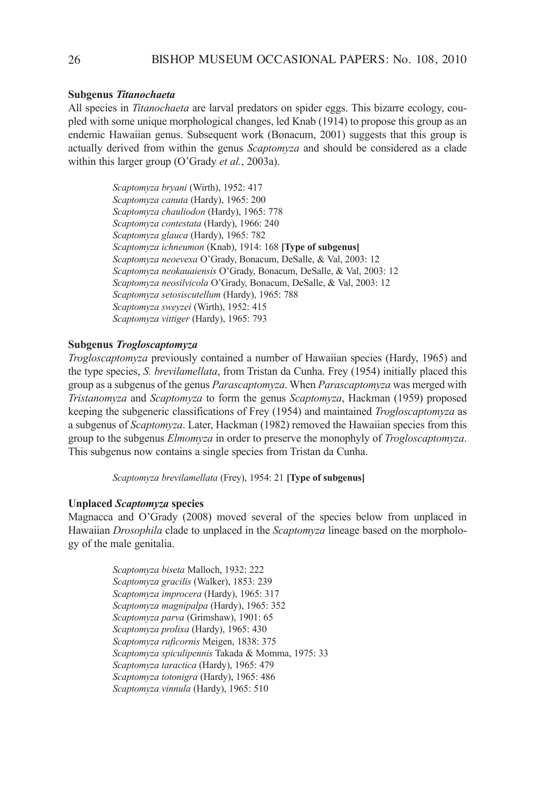### **Subgenus** *Titanochaeta*

all species in *Titanochaeta* are larval predators on spider eggs. This bizarre ecology, coupled with some unique morphological changes, led Knab (1914) to propose this group as an endemic Hawaiian genus. Subsequent work (Bonacum, 2001) suggests that this group is actually derived from within the genus *Scaptomyza* and should be considered as a clade within this larger group (O'Grady *et al.*, 2003a).

> *Scaptomyzabryani* (Wirth), 1952: 417 *Scaptomyzacanuta* (Hardy), 1965: 200 *Scaptomyzachauliodon* (Hardy), 1965: 778 *Scaptomyzacontestata* (Hardy), 1966: 240 *Scaptomyzaglauca* (Hardy), 1965: 782 *Scaptomyzaichneumon* (Knab), 1914: 168 **[Type of subgenus]** *Scaptomyza neoevexa* O'Grady, Bonacum, DeSalle, & Val, 2003: 12 Scaptomyza neokauaiensis O'Grady, Bonacum, DeSalle, & Val, 2003: 12 *Scaptomyza neosilvicola* O'Grady, Bonacum, DeSalle, & Val, 2003: 12 *Scaptomyzasetosiscutellum* (Hardy), 1965: 788 *Scaptomyzasweyzei* (Wirth), 1952: 415 *Scaptomyzavittiger* (Hardy), 1965: 793

## **Subgenus** *Trogloscaptomyza*

*Trogloscaptomyza* previously contained a number of Hawaiian species (Hardy, 1965) and the type species, *S.brevilamellata*, from Tristan da cunha. Frey (1954) initially placed this group as a subgenus of the genus *Parascaptomyza*. When *Parascaptomyza* was merged with *Tristanomyza* and *Scaptomyza* to form the genus *Scaptomyza*, Hackman (1959) proposed keeping the subgeneric classifications of Frey (1954) and maintained *Trogloscaptomyza* as a subgenus of *Scaptomyza*. Later, Hackman (1982) removed the Hawaiian species from this group to the subgenus *Elmomyza* in order to preserve the monophyly of *Trogloscaptomyza*. This subgenus now contains a single species from Tristan da cunha.

*Scaptomyzabrevilamellata* (Frey), 1954: 21 **[Type of subgenus]**

## **Unplaced** *Scaptomyza* **species**

Magnacca and O'Grady (2008) moved several of the species below from unplaced in Hawaiian *Drosophila* clade to unplaced in the *Scaptomyza* lineage based on the morphology of the male genitalia.

> *Scaptomyzabiseta* Malloch, 1932: 222 *Scaptomyzagracilis* (Walker), 1853: 239 *Scaptomyzaimprocera* (Hardy), 1965: 317 *Scaptomyzamagnipalpa* (Hardy), 1965: 352 *Scaptomyzaparva* (Grimshaw), 1901: 65 *Scaptomyzaprolixa* (Hardy), 1965: 430 *Scaptomyzaruficornis* Meigen, 1838: 375 *Scaptomyzaspiculipennis* Takada & Momma, 1975: 33 *Scaptomyzataractica* (Hardy), 1965: 479 *Scaptomyzatotonigra* (Hardy), 1965: 486 *Scaptomyzavinnula* (Hardy), 1965: 510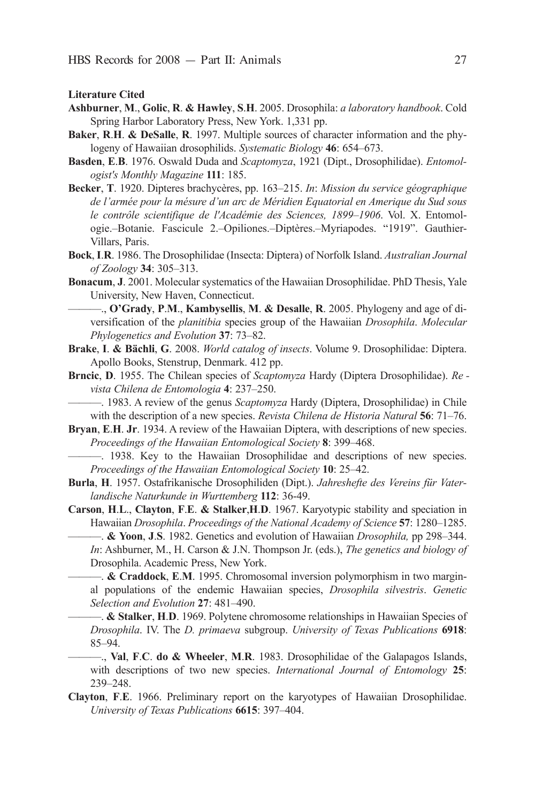**Literature Cited**

- **Ashburner**, **M**., **Golic**, **R**. **& Hawley**, **S**.**H**. 2005. drosophila: *alaboratoryhandbook*. cold Spring Harbor Laboratory Press, New York. 1,331 pp.
- **Baker**, **R**.**H**. **& DeSalle**, **R**. 1997. Multiple sources of character information and the phylogeny of Hawaiian drosophilids. *Systematic Biology* 46: 654–673.
- Basden, E.B. 1976. Oswald Duda and *Scaptomyza*, 1921 (Dipt., Drosophilidae). *Entomologist'sMonthlyMagazine***111**: 185.
- Becker, T. 1920. Dipteres brachycères, pp. 163–215. *In: Mission du service géographique* de l'armée pour la mésure d'un arc de Méridien Equatorial en Amerique du Sud sous le contrôle scientifique de l'Académie des Sciences, 1899–1906. Vol. X. Entomologie.–Botanie. Fascicule 2.–Opiliones.–Diptères.–Myriapodes. "1919". Gauthier-Villars, Paris.
- Bock, I.R. 1986. The Drosophilidae (Insecta: Diptera) of Norfolk Island. *Australian Journal ofZoology* **34**: 305–313.
- **Bonacum, J.** 2001. Molecular systematics of the Hawaiian Drosophilidae. PhD Thesis, Yale University, New Haven, connecticut.

———., **O'Grady**, **P**.**M**., **Kambysellis**, **M**. **& Desalle**, **R**. 2005. Phylogeny and age of di vers ification of the *planitibia* species group of the Hawaiian *Drosophila*. *Molecular PhylogeneticsandEvolution* **37**: 73–82.

- **Brake, I. & Bächli, G.** 2008. *World catalog of insects*. Volume 9. Drosophilidae: Diptera. Apollo Books, Stenstrup, Denmark. 412 pp.
- **Brncic**, **D**. 1955. The Chilean species of *Scaptomyza* Hardy (Diptera Drosophilidae). *RevistaChilenadeEntomologia* **4**: 237–250.

-. 1983. A review of the genus *Scaptomyza* Hardy (Diptera, Drosophilidae) in Chile with the description of a new species. *Revista Chilena de Historia Natural* **56**: 71–76.

**Bryan, E.H. Jr. 1934.** A review of the Hawaiian Diptera, with descriptions of new species. *Proceedings of the Hawaiian Entomological Society* 8: 399–468.

———. 1938. Key to the Hawaiian drosophilidae and descriptions of new species. *Proceedings of the Hawaiian Entomological Society* **10**: 25–42.

Burla, H. 1957. Ostafrikanische Drosophiliden (Dipt.). *Jahreshefte des Vereins für Vaterlandische Naturkunde in Wurttemberg* 112: 36-49.

**Carson**, **H**.**L**., **Clayton**, **F**.**E**. **& Stalker**,**H**.**D**. 1967. Karyotypic stability and speciation in Hawaiian *Drosophila. Proceedings of the National Academy of Science* 57: 1280–1285.

———. **& Yoon**, **J**.**S**. 1982. Genetics and evolution of Hawaiian *Drosophila,* pp 298–344. *In*: Ashburner, M., H. Carson & J.N. Thompson Jr. (eds.), *The genetics and biology of* Drosophila. Academic Press, New York.

———. **& Craddock**, **E**.**M**. 1995. chromosomal inversion polymorphism in two marginal populations of the endemic Hawaiian species, *Drosophila silvestris*. *Genetic SelectionandEvolution* **27**: 481–490.

———. **& Stalker**, **H**.**D**. 1969. Polytene chromosome relationships in Hawaiian Species of *Drosophila*. iV. The *D. primaeva* subgroup. *University of Texas Publications* **6918**: 85–94.

 $-$ , **Val**, **F.C. do & Wheeler**, **M.R.** 1983. Drosophilidae of the Galapagos Islands, with descriptions of two new species. *International Journal of Entomology* **25**: 239–248.

Clayton, F.E. 1966. Preliminary report on the karyotypes of Hawaiian Drosophilidae. *UniversityofTexasPublications* **6615**: 397–404.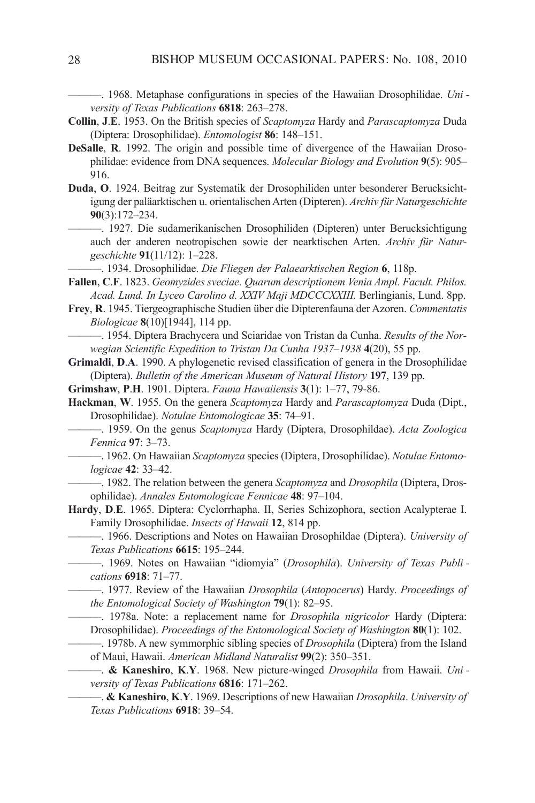———. 1968. Metaphase configurations in species of the Hawaiian Drosophilidae. *UniversityofTexasPublications* **6818**: 263–278.

- **Collin, J.E.** 1953. On the British species of *Scaptomyza* Hardy and *Parascaptomyza* Duda (diptera: drosophilidae). *Entomologist* **86**: 148–151.
- **DeSalle, R.** 1992. The origin and possible time of divergence of the Hawaiian Drosophilidae: evidence from DNA sequences. *Molecular Biology and Evolution* 9(5): 905– 916.
- Duda, O. 1924. Beitrag zur Systematik der Drosophiliden unter besonderer Beruck sichtigung der paläarktischen u. orientalischen Arten (Dipteren). *Archiv für Naturgeschichte* **90**(3):172–234.
	- 1927. Die sudamerikanischen Drosophiliden (Dipteren) unter Berucksichtigung auch der anderen neotropischen sowie der nearktischen arten. *Archiv für Natur geschichte* **91**(11/12): 1–228.
	- ———. 1934. drosophilidae. *DieFliegenderPalaearktischenRegion* **6**, 118p.
- **Fallen**, **C.F**. 1823. *Geomyzides sveciae. Quarum descriptionem Venia Ampl. Facult. Philos. Acad.Lund.InLyceoCarolinod.XXIVMajiMDCCCXXIII.* Berlingianis, Lund. 8pp.
- Frey, R. 1945. Tiergeographische Studien über die Dipterenfauna der Azoren. Commentatis *Biologicae* **8**(10)[1944], 114 pp.
- ———. 1954. diptera Brachycera und Sciaridae von Tristan da cunha. *ResultsoftheNor wegian Scientific Expedition to Tristan Da Cunha 1937–1938* **4**(20), 55 pp.
- **Grimaldi**, **D.A.** 1990. A phylogenetic revised classification of genera in the Drosophilidae (Diptera). *Bulletin of the American Museum of Natural History* 197, 139 pp.
- **Grimshaw**, **P.H.** 1901. Diptera. *Fauna Hawaiiensis* **3**(1): 1–77, 79-86.
- **Hackman**, W. 1955. On the genera *Scaptomyza* Hardy and *Parascaptomyza* Duda (Dipt., drosophilidae). *NotulaeEntomologicae* **35**: 74–91.
	- ———. 1959. On the genus *Scaptomyza* Hardy (diptera, drosophildae). *ActaZoologica Fennica* **97**: 3–73.
	- 1962. On Hawaiian *Scaptomyza* species (Diptera, Drosophilidae). *Notulae Entomologicae* **42**: 33–42.
		- 1982. The relation between the genera *Scaptomyza* and *Drosophila* (Diptera, Droso philidae). *AnnalesEntomologicaeFennicae* **48**: 97–104.
- Hardy, D.E. 1965. Diptera: Cyclorrhapha. II, Series Schizophora, section Acalypterae I. Family Drosophilidae. *Insects of Hawaii* 12, 814 pp.
- ———. 1966. descriptions and Notes on Hawaiian drosophildae (diptera). *Universityof TexasPublications* **6615**: 195–244.
	- ———. 1969. Notes on Hawaiian "idiomyia" (*Drosophila*). *University of Texas Publi cations* **6918**: 71–77.
- ———. 1977. review of the Hawaiian *Drosophila* (*Antopocerus*) Hardy. *Proceedingsof theEntomologicalSocietyofWashington* **79**(1): 82–95.
	- $-$ . 1978a. Note: a replacement name for *Drosophila nigricolor* Hardy (Diptera: Drosophilidae). *Proceedings of the Entomological Society of Washington* 80(1): 102.
	- —. 1978b. A new symmorphic sibling species of *Drosophila* (Diptera) from the Island of Maui, Hawaii. *American Midland Naturalist* 99(2): 350-351.
	- ———. **& Kaneshiro**, **K**.**Y**. 1968. New picture-winged *Drosophila* from Hawaii. *Uni versityofTexasPublications* **6816**: 171–262.
		- ———. **& Kaneshiro**, **K**.**Y**. 1969. descriptions of new Hawaiian *Drosophila*. *Universityof TexasPublications* **6918**: 39–54.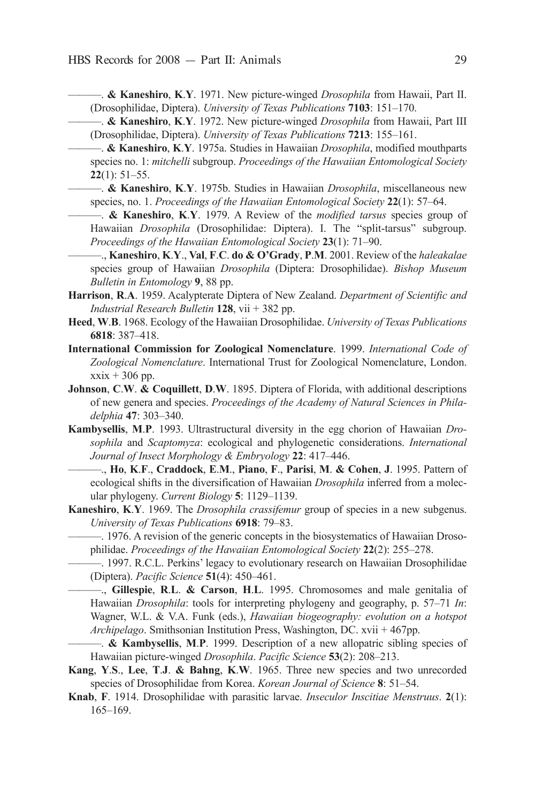- ———. **& Kaneshiro**, **K**.**Y**. 1971. New picture-winged *Drosophila* from Hawaii, Part ii. (Drosophilidae, Diptera). *University of Texas Publications* **7103**: 151–170.
- ———. **& Kaneshiro**, **K**.**Y**. 1972. New picture-winged *Drosophila* from Hawaii, Part iii (Drosophilidae, Diptera). *University of Texas Publications* **7213**: 155–161.
- ———. **& Kaneshiro**, **K**.**Y**. 1975a. Studies in Hawaiian *Drosophila*, modified mouthparts species no. 1: *mitchelli* subgroup. *Proceedings of the Hawaiian Entomological Society* **22**(1): 51–55.
- ———. **& Kaneshiro**, **K**.**Y**. 1975b. Studies in Hawaiian *Drosophila*, miscellaneous new species, no. 1. *Proceedings of the Hawaiian Entomological Society* 22(1): 57–64.
	- ———. **& Kaneshiro**, **K**.**Y**. 1979. a review of the *modified tarsus*species group of Hawaiian *Drosophila* (Drosophilidae: Diptera). I. The "split-tarsus" subgroup. *Proceedings of the Hawaiian Entomological Society* 23(1): 71–90.
- ———., **Kaneshiro**, **K**.**Y**., **Val**, **F**.**C**. **do & O'Grady**, **P**.**M**. 2001. review of the *haleakalae* species group of Hawaiian *Drosophila* (Diptera: Drosophilidae). *Bishop Museum BulletininEntomology* **9**, 88 pp.
- Harrison, R.A. 1959. Acalypterate Diptera of New Zealand. *Department of Scientific and Industrial Research Bulletin* 128, vii + 382 pp.
- Heed, W.B. 1968. Ecology of the Hawaiian Drosophilidae. *University of Texas Publications* **6818**: 387–418.
- **International Commission for Zoological Nomenclature**. 1999. *International Code of* Zoological Nomenclature. International Trust for Zoological Nomenclature, London.  $x\dot{x}$  + 306 pp.
- **Johnson, C.W. & Coquillett, D.W.** 1895. Diptera of Florida, with additional descriptions of new genera and species. *Proceedings of the Academy of Natural Sciences in Philadelphia* **47**: 303–340.
- **Kambysellis**, **M**.**P**. 1993. Ultrastructural diversity in the egg chorion of Hawaiian *Dro sophila* and *Scaptomyza*: ecological and phylogenetic considerations. *International JournalofInsectMorphology&Embryology* **22**: 417–446.
	- ———., **Ho**, **K**.**F**., **Craddock**, **E**.**M**., **Piano**, **F**., **Parisi**, **M**. **& Cohen**, **J**. 1995. Pattern of ecological shifts in the diversification of Hawaiian *Drosophila* inferred from a molecular phylogeny. *CurrentBiology* **5**: 1129–1139.
- **Kaneshiro, K.Y.** 1969. The *Drosophila crassifemur* group of species in a new subgenus. *UniversityofTexasPublications* **6918**: 79–83.
- —. 1976. A revision of the generic concepts in the biosystematics of Hawaiian Drosophilidae. *Proceedings of the Hawaiian Entomological Society* 22(2): 255–278.
	- -- 1997. R.C.L. Perkins' legacy to evolutionary research on Hawaiian Drosophilidae (diptera). *PacificScience* **51**(4): 450–461.
	- ———., **Gillespie**, **R**.**L**. **& Carson**, **H**.**L**. 1995. chromosomes and male genitalia of Hawaiian *Drosophila*: tools for interpreting phylogeny and geography, p. 57–71 *In*: Wagner, W.L. & V.a. Funk (eds.), *Hawaiian biogeography: evolution on a hotspot Archipelago*. Smithsonian Institution Press, Washington, DC. xvii + 467pp.
- ———. **& Kambysellis**, **M**.**P**. 1999. description of a new allopatric sibling species of Hawaiian picture-winged *Drosophila*. *Pacific Science* **53**(2): 208-213.
- **Kang**, **Y**.**S**., **Lee**, **T**.**J**. **& Bahng**, **K**.**W**. 1965. Three new species and two unrecorded species of Drosophilidae from Korea. *Korean Journal of Science* 8: 51-54.
- **Knab**, **F**. 1914. Drosophilidae with parasitic larvae. *Inseculor Inscitiae Menstruus*. **2**(1): 165–169.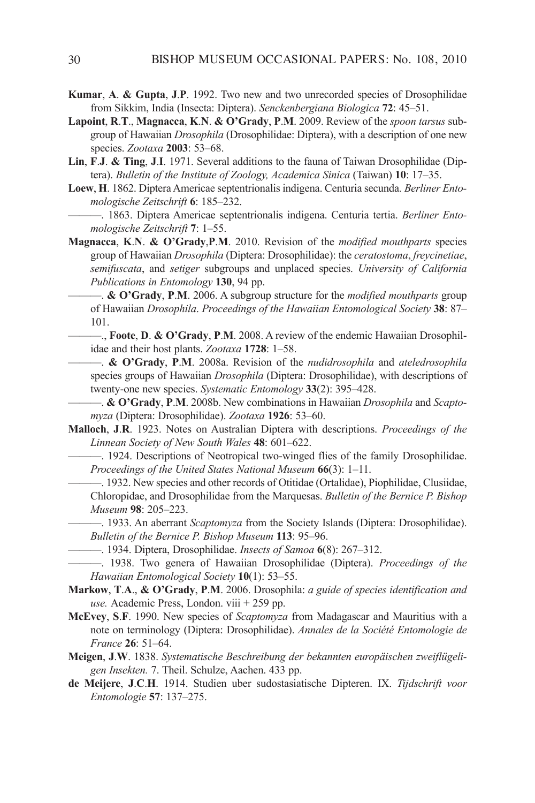- Kumar, A. & Gupta, J.P. 1992. Two new and two unrecorded species of Drosophilidae from Sikkim, India (Insecta: Diptera). *Senckenbergiana Biologica* 72: 45–51.
- **Lapoint**, **R**.**T**., **Magnacca**, **K**.**N**. **& O'Grady**, **P**.**M**. 2009. review of the *spoontarsus* subgroup of Hawaiian *Drosophila* (Drosophilidae: Diptera), with a description of one new species. *Zootaxa* **2003**: 53–68.
- Lin, F.J. & Ting, J.I. 1971. Several additions to the fauna of Taiwan Drosophilidae (Diptera). *Bulletin of the Institute of Zoology, Academica Sinica* (Taiwan) **10**: 17–35.
- Loew, H. 1862. Diptera Americae septentrionalis indigena. Centuria secunda. *Berliner EntomologischeZeitschrift* **6**: 185–232.
	- ———. 1863. diptera americae septentrionalis indigena. centuria tertia. *Berliner Ento mologischeZeitschrift* **7**: 1–55.
- **Magnacca**, **K**.**N**. **& O'Grady**,**P**.**M**. 2010. revision of the *modified mouthparts* species group of Hawaiian *Drosophila* (Diptera: Drosophilidae): the *ceratostoma*, *freycinetiae*, *semifuscata*, and *setiger* subgroups and unplaced species. *University of California Publications in Entomology* 130, 94 pp.
	- ———. **& O'Grady**, **P**.**M**. 2006. a subgroup structure for the *modifiedmouthparts*group of Hawaiian *Drosophila*. *Proceedings of the Hawaiian Entomological Society* 38: 87– 101.
	- ——., **Foote**, **D. & O'Grady**, **P.M.** 2008. A review of the endemic Hawaiian Drosophilidae and their host plants. *Zootaxa* **1728**: 1–58.
		- $\rightarrow$  & O'Grady, P.M. 2008a. Revision of the *nudidrosophila* and *ateledrosophila* species groups of Hawaiian *Drosophila* (Diptera: Drosophilidae), with descriptions of twenty-one new species. *Systematic Entomology* 33(2): 395–428.
		- ———. **& O'Grady**, **P**.**M**. 2008b. New combinations in Hawaiian *Drosophila* and *Scapto myza* (Diptera: Drosophilidae). *Zootaxa* **1926**: 53–60.
- Malloch, J.R. 1923. Notes on Australian Diptera with descriptions. *Proceedings of the LinneanSocietyofNewSouthWales* **48**: 601–622.
	- —. 1924. Descriptions of Neotropical two-winged flies of the family Drosophilidae. *Proceedings of the United States National Museum* 66(3): 1–11.
		- ———. 1932. New species and other records of Otitidae (Ortalidae), Piophilidae, clusiidae, Chloropidae, and Drosophilidae from the Marquesas. *Bulletin of the Bernice P. Bishop Museum* **98**: 205–223.
	- —. 1933. An aberrant *Scaptomyza* from the Society Islands (Diptera: Drosophilidae). *BulletinoftheBerniceP.BishopMuseum* **113**: 95–96.
- ———. 1934. diptera, drosophilidae. *InsectsofSamoa* **6**(8): 267–312.
- ———. 1938. Two genera of Hawaiian drosophilidae (diptera). *Proceedings of the HawaiianEntomologicalSociety* **10**(1): 53–55.
- **Markow**, **T**.**A**., **& O'Grady**, **P**.**M**. 2006. drosophila: *aguideofspeciesidentificationand*  $use. Academic Press, London. viii + 259 pp.$
- **McEvey**, **S**.**F**. 1990. New species of *Scaptomyza* from Madagascar and Mauritius with a note on terminology (Diptera: Drosophilidae). *Annales de la Société Entomologie de France* **26**: 51–64.
- Meigen, J.W. 1838. Systematische Beschreibung der bekannten europäischen zweiflügeli*genInsekten.* 7. Theil. Schulze, aachen. 433 pp.
- **de Meijere**, **J**.**C**.**H**. 1914. Studien uber sudostasiatische dipteren. iX. *Tijdschrift voor Entomologie***57**: 137–275.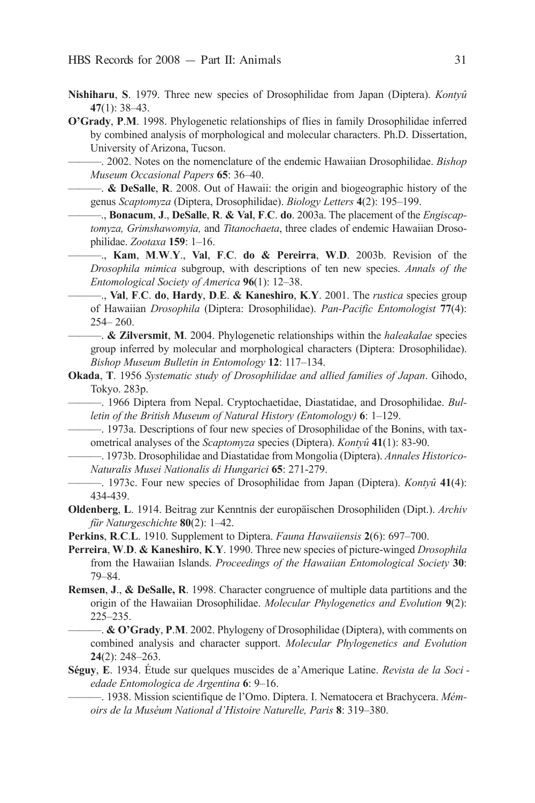- **Nishiharu**, **S**. 1979. Three new species of Drosophilidae from Japan (Diptera). *Kontyû* **47**(1): 38–43.
- **O'Grady**, **P.M.** 1998. Phylogenetic relationships of flies in family Drosophilidae inferred by combined analysis of morphological and molecular characters. Ph.D. Dissertation, University of Arizona, Tucson.

———. 2002. Notes on the nomenclature of the endemic Hawaiian drosophilidae. *Bishop MuseumOccasionalPapers* **65**: 36–40.

- ———. **& DeSalle**, **R**. 2008. Out of Hawaii: the origin and biogeographic history of the genus *Scaptomyza* (Diptera, Drosophilidae). *Biology Letters* **4**(2): 195–199.
	- ———., **Bonacum**, **J**., **DeSalle**, **R**. **& Val**, **F**.**C**. **do**. 2003a. The placement of the *Engiscap tomyza, Grimshawomyia, and Titanochaeta, three clades of endemic Hawaiian Droso*philidae. *Zootaxa* **159**: 1–16.
	- ———., **Kam**, **M**.**W**.**Y**., **Val**, **F**.**C**. **do & Pereirra**, **W**.**D**. 2003b. revision of the *Drosophila mimica* subgroup, with descriptions of ten new species. *Annals of the EntomologicalSocietyofAmerica* **96**(1): 12–38.
		- ———., **Val**, **F**.**C**. **do**, **Hardy**, **D**.**E**. **& Kaneshiro**, **K**.**Y**. 2001. The *rustica*species group of Hawaiian *Drosophila* (Diptera: Drosophilidae). *Pan-Pacific Entomologist* 77(4):  $254 - 260$ .
- ———. **& Zilversmit**, **M**. 2004. Phylogenetic relationships within the *haleakalae* species group inferred by molecular and morphological characters (Diptera: Drosophilidae). *BishopMuseumBulletininEntomology* **12**: 117–134.
- **Okada**, **T**. 1956 *Systematic study of Drosophilidae and allied families of Japan. Gihodo,* Tokyo. 283p.
- ———. 1966 diptera from Nepal. cryptochaetidae, diastatidae, and drosophilidae. *Bul letinoftheBritishMuseumofNaturalHistory(Entomology)* **6**: 1–129.
	- 1973a. Descriptions of four new species of Drosophilidae of the Bonins, with taxometrical analyses of the *Scaptomyza* species (Diptera). *Kontyû* 41(1): 83-90.
- $-$ . 1973b. Drosophilidae and Diastatidae from Mongolia (Diptera). *Annales Historico-NaturalisMuseiNationalisdiHungarici* **65**: 271-279.
- $-$ , 1973c. Four new species of Drosophilidae from Japan (Diptera). *Kontyû* 41(4): 434-439.
- **Oldenberg**, **L**. 1914. Beitrag zur Kenntnis der europäischen Drosophiliden (Dipt.). *Archiv für Naturgeschichte* **80**(2): 1–42.
- **Perkins**, **R.C.L.** 1910. Supplement to Diptera. *Fauna Hawaiiensis* **2**(6): 697–700.
- **Perreira**, **W**.**D**. **& Kaneshiro**, **K**.**Y**. 1990. Three new species of picture-winged *Drosophila* from the Hawaiian Islands. Proceedings of the Hawaiian Entomological Society 30: 79–84.
- **Remsen**, **J**., **& DeSalle, R**. 1998. character congruence of multiple data partitions and the origin of the Hawaiian Drosophilidae. *Molecular Phylogenetics and Evolution* 9(2): 225–235.

— & O'Grady, P.M. 2002. Phylogeny of Drosophilidae (Diptera), with comments on combined analysis and character support. *Molecular Phylogenetics and Evolution* **24**(2): 248–263.

**Séguy, E**. 1934. Étude sur quelques muscides de a'Amerique Latine. *Revista de la Soci edadeEntomologicadeArgentina* **6**: 9–16.

———. 1938. Mission scientifique de l'Omo. diptera. i. Nematocera et Brachycera. *Mém oirsdelaMuséumNationald'HistoireNaturelle,Paris* **8**: 319–380.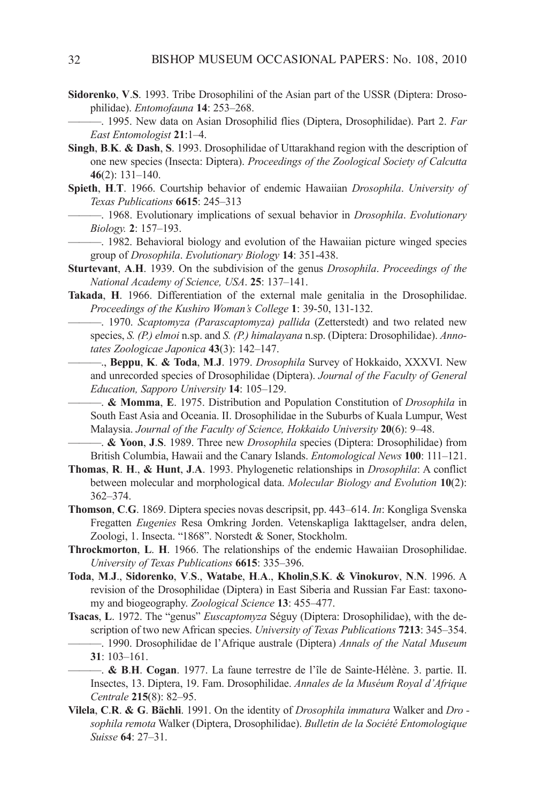- **Sidorenko, V.S. 1993.** Tribe Drosophilini of the Asian part of the USSR (Diptera: Drosophilidae). *Entomofauna* **14**: 253–268.
	- ———. 1995. New data on asian drosophilid flies (diptera, drosophilidae). Part 2. *Far EastEntomologist* **21**:1–4.
- **Singh, B.K. & Dash, S. 1993.** Drosophilidae of Uttarakhand region with the description of one new species (Insecta: Diptera). *Proceedings of the Zoological Society of Calcutta* **46**(2): 131–140.
- **Spieth**, **H**.**T**. 1966. courtship behavior of endemic Hawaiian *Drosophila*. *University of TexasPublications* **6615**: 245–313
	- ———. 1968. Evolutionary implications of sexual behavior in *Drosophila*. *Evolutionary Biology.* **2**: 157–193.
	- ———. 1982. Behavioral biology and evolution of the Hawaiian picture winged species group of *Drosophila*. *EvolutionaryBiology* **14**: 351-438.
- **Sturtevant, A.H.** 1939. On the subdivision of the genus *Drosophila. Proceedings of the NationalAcademyofScience,USA*. **25**: 137–141.
- Takada, H. 1966. Differentiation of the external male genitalia in the Drosophilidae. *Proceedings of the Kushiro Woman's College* 1: 39-50, 131-132.
	- ———. 1970. *Scaptomyza (Parascaptomyza) pallida* (Zetterstedt) and two related new species, *S. (P.) elmoi* n.sp. and *S. (P.) himalayana* n.sp. (Diptera: Drosophilidae). *AnnotatesZoologicaeJaponica* **43**(3): 142–147.
		- ———., **Beppu**, **K**. **& Toda**, **M**.**J**. 1979. *Drosophila* Survey of Hokkaido, XXXVi. New and unrecorded species of Drosophilidae (Diptera). *Journal of the Faculty of General Education,SapporoUniversity* **14**: 105–129.
	- & Momma, E. 1975. Distribution and Population Constitution of *Drosophila* in South East Asia and Oceania. II. Drosophilidae in the Suburbs of Kuala Lumpur, West Malaysia. *Journal of the Faculty of Science, Hokkaido University* 20(6): 9–48.
	- ———. **& Yoon**, **J**.**S**. 1989. Three new *Drosophila* species (diptera: drosophilidae) from British Columbia, Hawaii and the Canary Islands. *Entomological News* 100: 111–121.
- **Thomas**, **R**. **H**., **& Hunt**, **J**.**A**. 1993. Phylogenetic relationships in *Drosophila*: a conflict between molecular and morphological data. *Molecular Biology and Evolution* 10(2): 362–374.
- **Thomson**, **C.G**. 1869. Diptera species novas descripsit, pp. 443–614. *In*: Kongliga Svenska Fregatten *Eugenies* Resa Omkring Jorden. Vetenskapliga Iakttagelser, andra delen, Zoologi, 1. Insecta. "1868". Norstedt & Soner, Stockholm.
- **Throckmorton, L. H. 1966.** The relationships of the endemic Hawaiian Drosophilidae. *UniversityofTexasPublications* **6615**: 335–396.
- **Toda**, **M**.**J**., **Sidorenko**, **V**.**S**., **Watabe**, **H**.**A**., **Kholin**,**S**.**K**. **& Vinokurov**, **N**.**N**. 1996. a revision of the Drosophilidae (Diptera) in East Siberia and Russian Far East: taxonomy and biogeography. *Zoological Science* 13: 455-477.
- **Tsacas**, **L**. 1972. The "genus" *Euscaptomyza* Séguy (Diptera: Drosophilidae), with the description of two new African species. *University of Texas Publications* **7213**: 345–354. —. 1990. Drosophilidae de l'Afrique australe (Diptera) *Annals of the Natal Museum*
- **31**: 103–161. ———. **& B**.**H**. **Cogan**. 1977. La faune terrestre de l'île de Sainte-Hélène. 3. partie. ii. Insectes, 13. Diptera, 19. Fam. Drosophilidae. *Annales de la Muséum Royal d'Afrique Centrale* **215**(8): 82–95.
- **Vilela**, **C**.**R**. **& G**. **Bächli**. 1991. On the identity of *Drosophilaimmatura* Walker and *Dro* sophila remota Walker (Diptera, Drosophilidae). *Bulletin de la Société Entomologique Suisse* **64**: 27–31.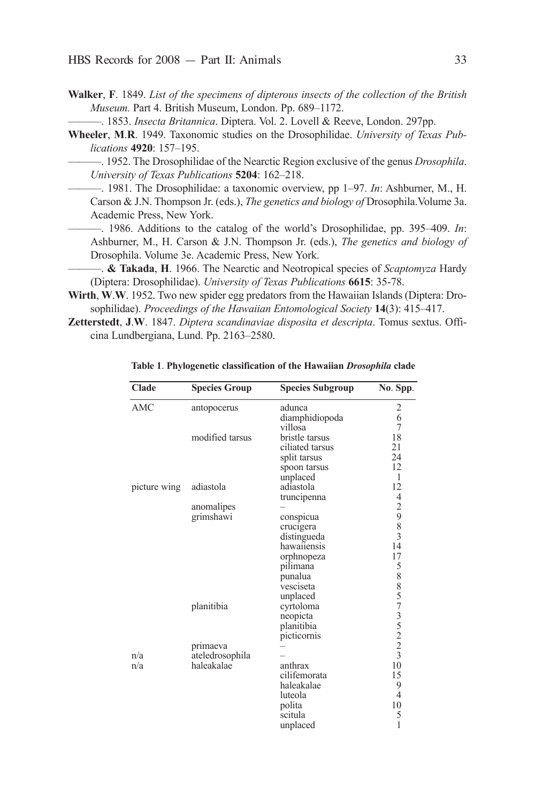- **Walker**, **F**. 1849. *ListofthespecimensofdipterousinsectsofthecollectionoftheBritish Museum.* Part 4. British Museum, London. Pp. 689–1172.
	- —. 1853. *Insecta Britannica*. Diptera. Vol. 2. Lovell & Reeve, London. 297pp.
- **Wheeler**, M.R. 1949. Taxonomic studies on the Drosophilidae. *University of Texas Publications* **4920**: 157–195.

 $-$ . 1952. The Drosophilidae of the Nearctic Region exclusive of the genus *Drosophila*. *UniversityofTexasPublications* **5204**: 162–218.

- —. 1981. The Drosophilidae: a taxonomic overview, pp 1–97. *In*: Ashburner, M., H. Carson & J.N. Thompson Jr. (eds.), *The genetics and biology of* Drosophila. Volume 3a. Academic Press, New York.
- ———. 1986. additions to the catalog of the world's drosophilidae, pp. 395–409. *In*: ashburner, M., H. carson & J.N. Thompson Jr. (eds.), *The genetics and biology of* Drosophila. Volume 3e. Academic Press, New York.
- ———. **& Takada**, **H**. 1966. The Nearctic and Neotropical species of *Scaptomyza* Hardy (Diptera: Drosophilidae). *University of Texas Publications* 6615: 35-78.
- Wirth, W.W. 1952. Two new spider egg predators from the Hawaiian Islands (Diptera: Drosophilidae). *Proceedings of the Hawaiian Entomological Society* 14(3): 415-417.
- **Zetterstedt**, **J.W**. 1847. *Diptera scandinaviae disposita et descripta*. Tomus sextus. Officina Lundbergiana, Lund. Pp. 2163–2580.

| Clade        | <b>Species Group</b> | <b>Species Subgroup</b> | No. Spp.                                   |
|--------------|----------------------|-------------------------|--------------------------------------------|
| <b>AMC</b>   | antopocerus          | adunca                  |                                            |
|              |                      | diamphidiopoda          | $\begin{array}{c} 2 \\ 6 \\ 7 \end{array}$ |
|              |                      | villosa                 |                                            |
|              | modified tarsus      | bristle tarsus          | 18                                         |
|              |                      | ciliated tarsus         | 21                                         |
|              |                      | split tarsus            | 24                                         |
|              |                      | spoon tarsus            | 12                                         |
|              |                      | unplaced                | 1                                          |
| picture wing | adiastola            | adiastola               | 12                                         |
|              |                      | truncipenna             |                                            |
|              | anomalipes           |                         | $42983$<br>$14$                            |
|              | grimshawi            | conspicua               |                                            |
|              |                      | crucigera               |                                            |
|              |                      | distingueda             |                                            |
|              |                      | hawaiiensis             |                                            |
|              |                      | orphnopeza              | 17                                         |
|              |                      | pilimana                |                                            |
|              |                      | punalua                 | 5885735223                                 |
|              |                      | vesciseta               |                                            |
|              |                      | unplaced                |                                            |
|              | planitibia           | cyrtoloma               |                                            |
|              |                      | neopicta                |                                            |
|              |                      | planitibia              |                                            |
|              |                      | picticornis             |                                            |
|              | primaeva             |                         |                                            |
| n/a          | ateledrosophila      |                         |                                            |
| n/a          | haleakalae           | anthrax                 | 10                                         |
|              |                      | cilifemorata            | 15                                         |
|              |                      | haleakalae              | 9                                          |
|              |                      | luteola                 | 4                                          |
|              |                      | polita                  | 10                                         |
|              |                      | scitula                 | 5                                          |
|              |                      | unplaced                | 1                                          |

**Table 1**. **Phylogenetic classification of the Hawaiian** *Drosophila* **clade**